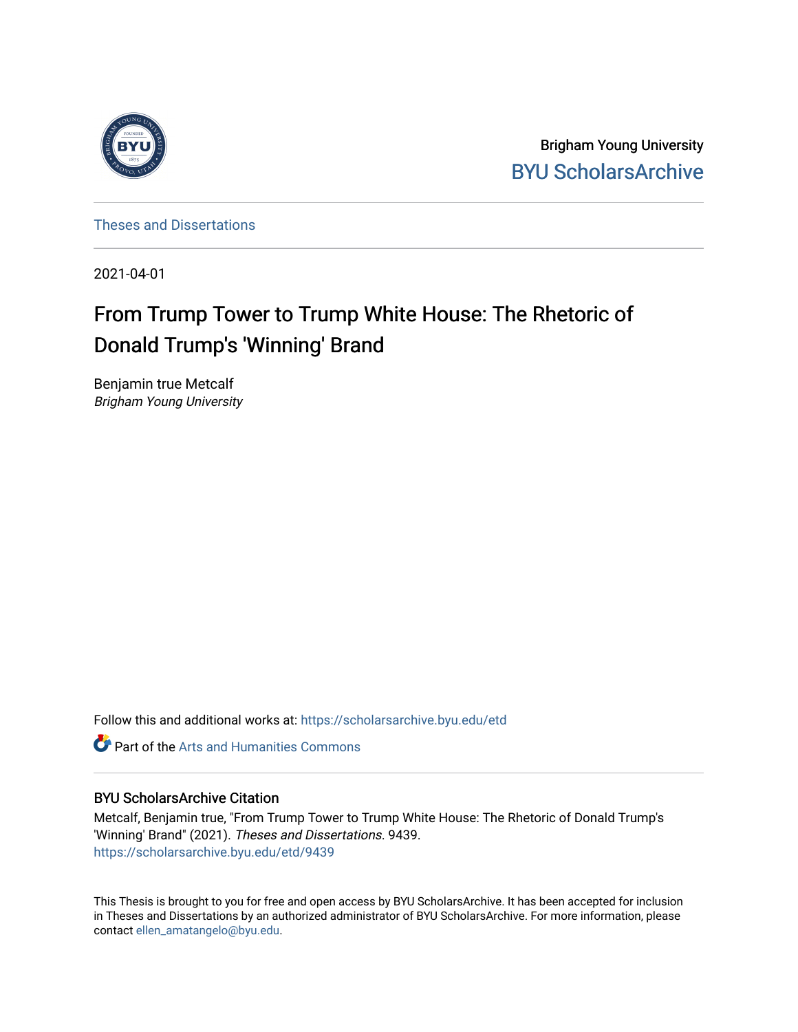

Brigham Young University [BYU ScholarsArchive](https://scholarsarchive.byu.edu/) 

[Theses and Dissertations](https://scholarsarchive.byu.edu/etd)

2021-04-01

# From Trump Tower to Trump White House: The Rhetoric of Donald Trump's 'Winning' Brand

Benjamin true Metcalf Brigham Young University

Follow this and additional works at: [https://scholarsarchive.byu.edu/etd](https://scholarsarchive.byu.edu/etd?utm_source=scholarsarchive.byu.edu%2Fetd%2F9439&utm_medium=PDF&utm_campaign=PDFCoverPages)

**Part of the Arts and Humanities Commons** 

# BYU ScholarsArchive Citation

Metcalf, Benjamin true, "From Trump Tower to Trump White House: The Rhetoric of Donald Trump's 'Winning' Brand" (2021). Theses and Dissertations. 9439. [https://scholarsarchive.byu.edu/etd/9439](https://scholarsarchive.byu.edu/etd/9439?utm_source=scholarsarchive.byu.edu%2Fetd%2F9439&utm_medium=PDF&utm_campaign=PDFCoverPages) 

This Thesis is brought to you for free and open access by BYU ScholarsArchive. It has been accepted for inclusion in Theses and Dissertations by an authorized administrator of BYU ScholarsArchive. For more information, please contact [ellen\\_amatangelo@byu.edu.](mailto:ellen_amatangelo@byu.edu)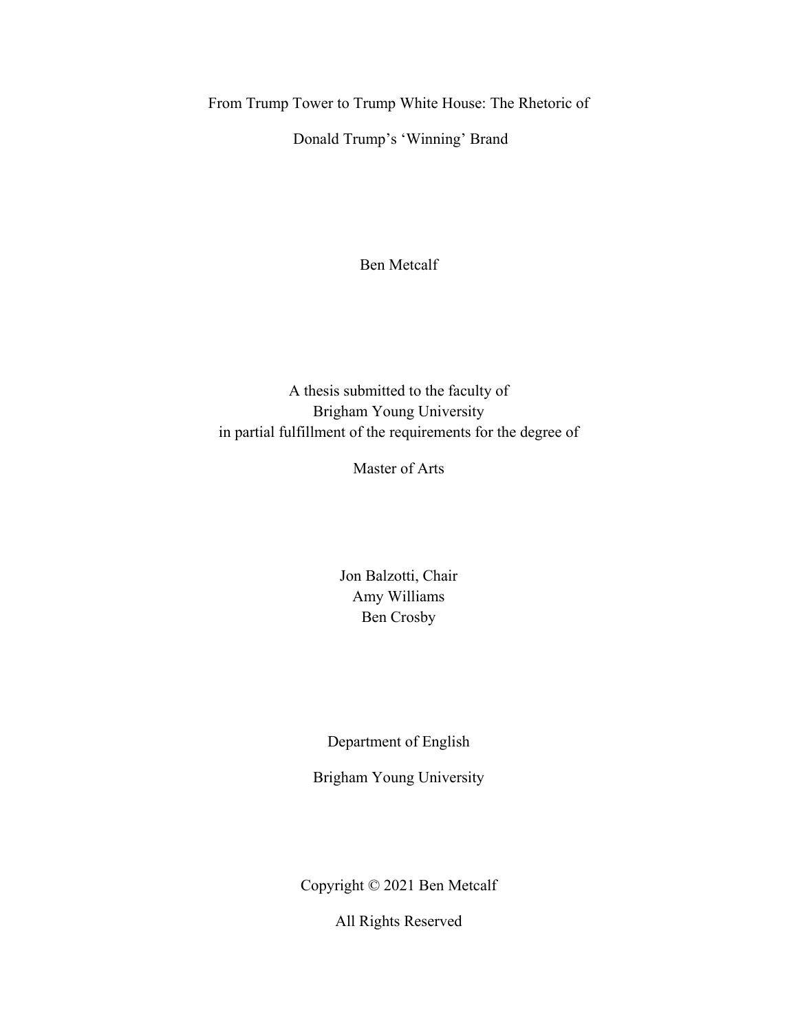<span id="page-1-0"></span>From Trump Tower to Trump White House: The Rhetoric of

Donald Trump's 'Winning' Brand

Ben Metcalf

A thesis submitted to the faculty of Brigham Young University in partial fulfillment of the requirements for the degree of

Master of Arts

Jon Balzotti, Chair Amy Williams Ben Crosby

Department of English

Brigham Young University

Copyright © 2021 Ben Metcalf

All Rights Reserved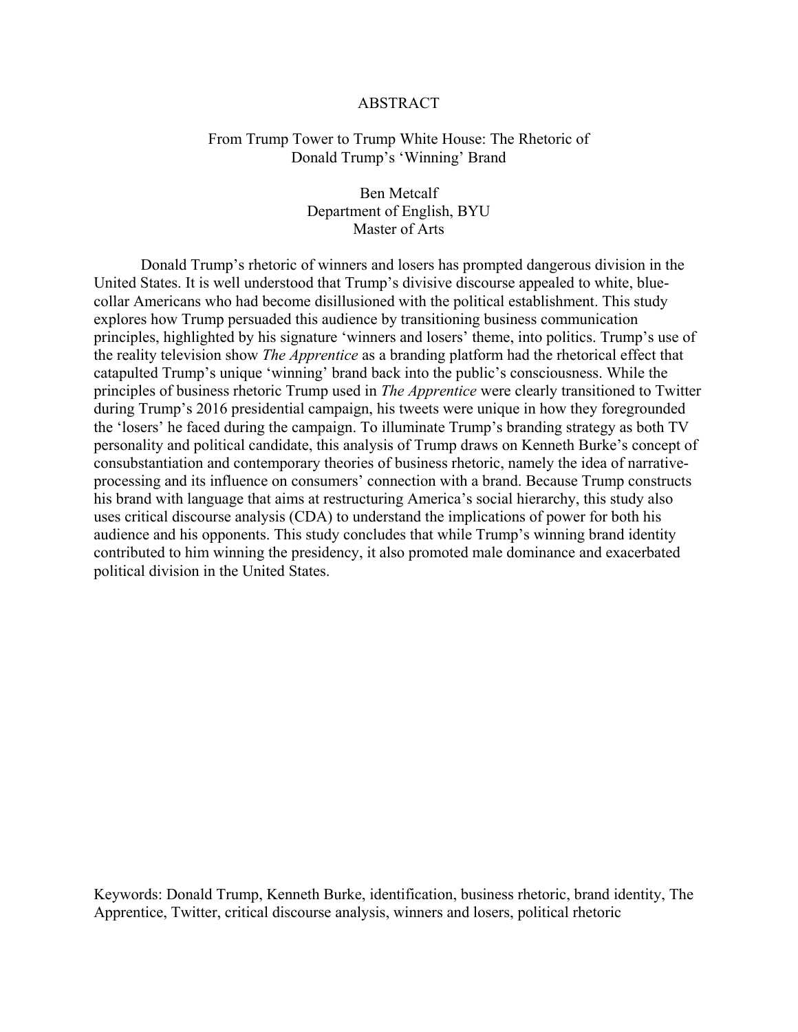#### ABSTRACT

# <span id="page-2-0"></span>From Trump Tower to Trump White House: The Rhetoric of Donald Trump's 'Winning' Brand

Ben Metcalf Department of English, BYU Master of Arts

 Donald Trump's rhetoric of winners and losers has prompted dangerous division in the United States. It is well understood that Trump's divisive discourse appealed to white, bluecollar Americans who had become disillusioned with the political establishment. This study explores how Trump persuaded this audience by transitioning business communication principles, highlighted by his signature 'winners and losers' theme, into politics. Trump's use of the reality television show *The Apprentice* as a branding platform had the rhetorical effect that catapulted Trump's unique 'winning' brand back into the public's consciousness. While the principles of business rhetoric Trump used in *The Apprentice* were clearly transitioned to Twitter during Trump's 2016 presidential campaign, his tweets were unique in how they foregrounded the 'losers' he faced during the campaign. To illuminate Trump's branding strategy as both TV personality and political candidate, this analysis of Trump draws on Kenneth Burke's concept of consubstantiation and contemporary theories of business rhetoric, namely the idea of narrativeprocessing and its influence on consumers' connection with a brand. Because Trump constructs his brand with language that aims at restructuring America's social hierarchy, this study also uses critical discourse analysis (CDA) to understand the implications of power for both his audience and his opponents. This study concludes that while Trump's winning brand identity contributed to him winning the presidency, it also promoted male dominance and exacerbated political division in the United States.

Keywords: Donald Trump, Kenneth Burke, identification, business rhetoric, brand identity, The Apprentice, Twitter, critical discourse analysis, winners and losers, political rhetoric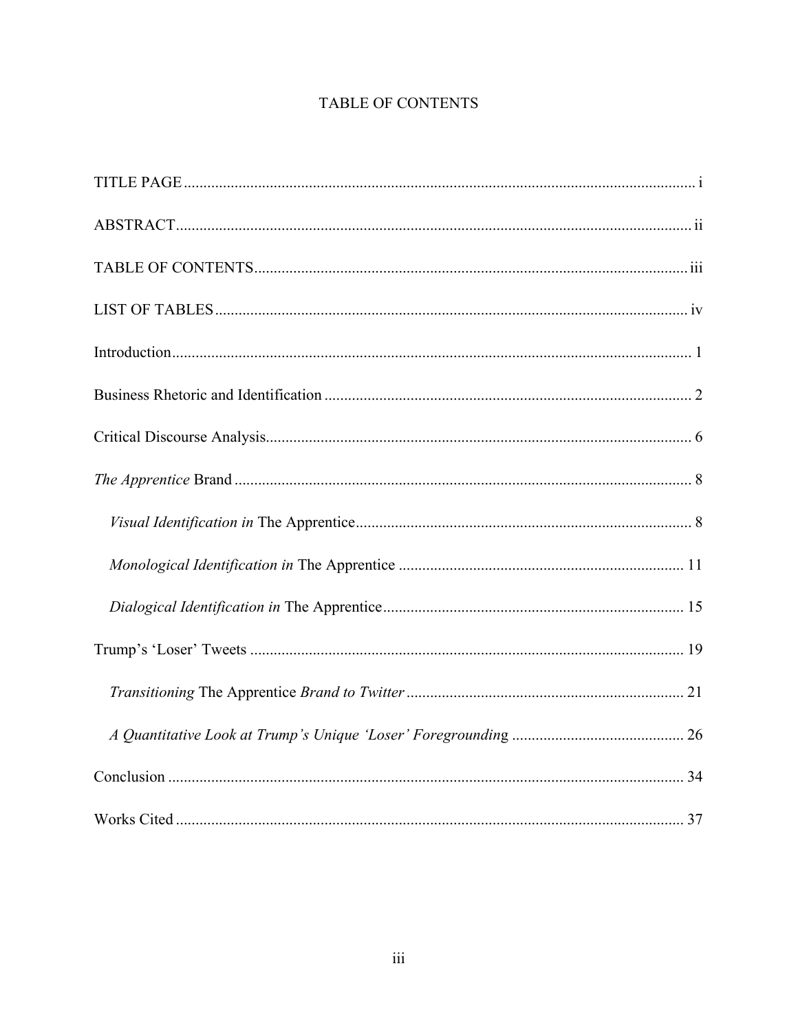# TABLE OF CONTENTS

<span id="page-3-0"></span>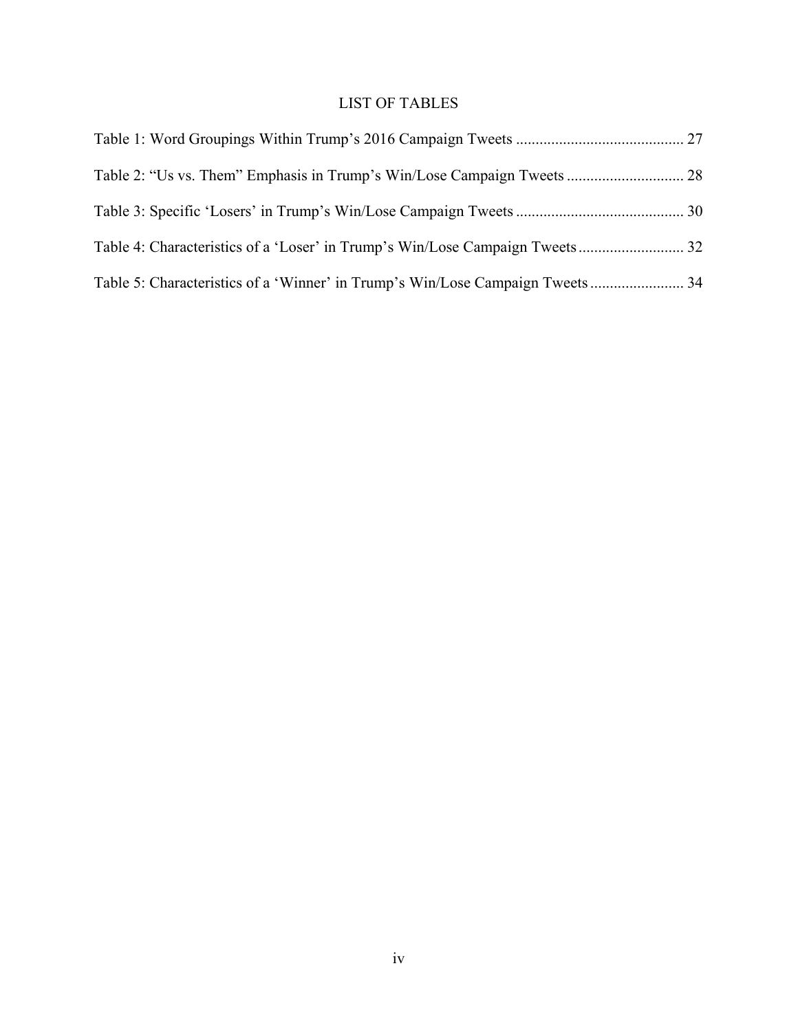# LIST OF TABLES

<span id="page-4-0"></span>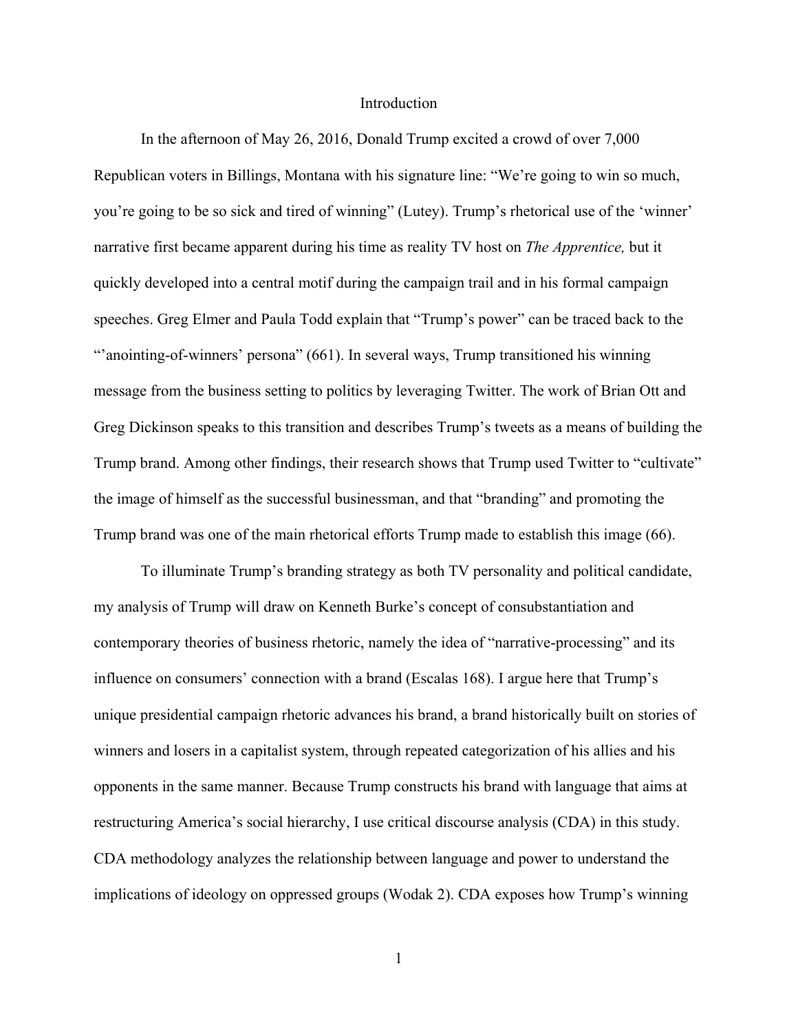### Introduction

<span id="page-5-0"></span>In the afternoon of May 26, 2016, Donald Trump excited a crowd of over 7,000 Republican voters in Billings, Montana with his signature line: "We're going to win so much, you're going to be so sick and tired of winning" (Lutey). Trump's rhetorical use of the 'winner' narrative first became apparent during his time as reality TV host on *The Apprentice,* but it quickly developed into a central motif during the campaign trail and in his formal campaign speeches. Greg Elmer and Paula Todd explain that "Trump's power" can be traced back to the "'anointing-of-winners' persona" (661). In several ways, Trump transitioned his winning message from the business setting to politics by leveraging Twitter. The work of Brian Ott and Greg Dickinson speaks to this transition and describes Trump's tweets as a means of building the Trump brand. Among other findings, their research shows that Trump used Twitter to "cultivate" the image of himself as the successful businessman, and that "branding" and promoting the Trump brand was one of the main rhetorical efforts Trump made to establish this image (66).

To illuminate Trump's branding strategy as both TV personality and political candidate, my analysis of Trump will draw on Kenneth Burke's concept of consubstantiation and contemporary theories of business rhetoric, namely the idea of "narrative-processing" and its influence on consumers' connection with a brand (Escalas 168). I argue here that Trump's unique presidential campaign rhetoric advances his brand, a brand historically built on stories of winners and losers in a capitalist system, through repeated categorization of his allies and his opponents in the same manner. Because Trump constructs his brand with language that aims at restructuring America's social hierarchy, I use critical discourse analysis (CDA) in this study. CDA methodology analyzes the relationship between language and power to understand the implications of ideology on oppressed groups (Wodak 2). CDA exposes how Trump's winning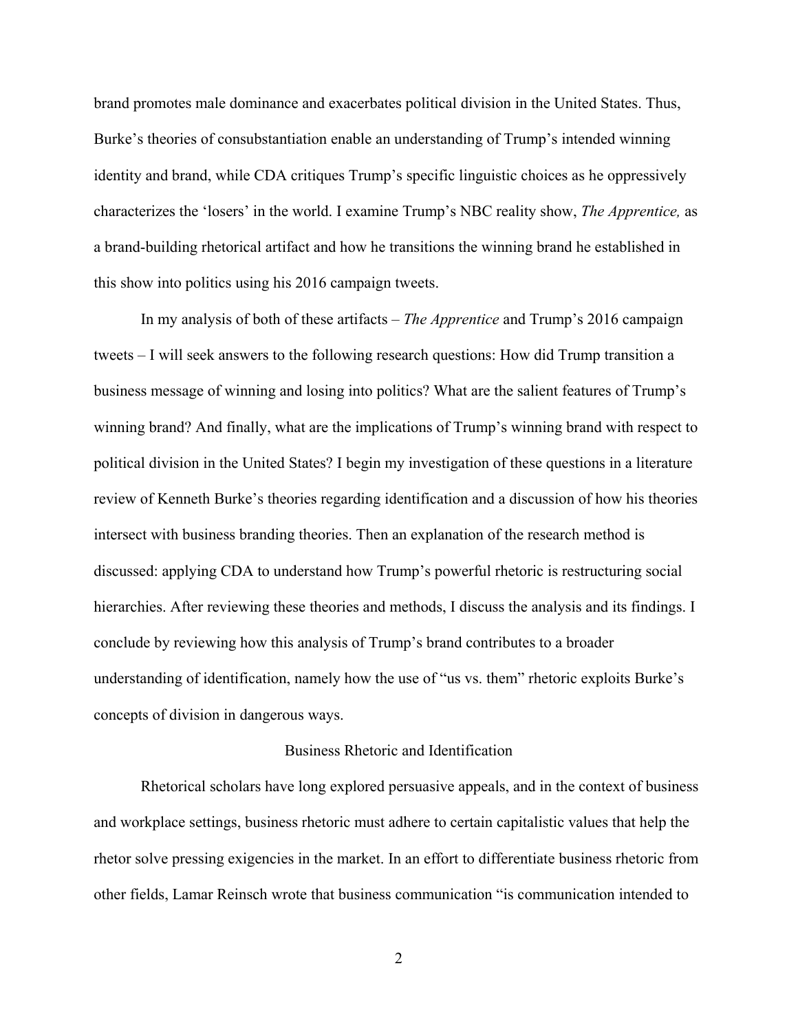brand promotes male dominance and exacerbates political division in the United States. Thus, Burke's theories of consubstantiation enable an understanding of Trump's intended winning identity and brand, while CDA critiques Trump's specific linguistic choices as he oppressively characterizes the 'losers' in the world. I examine Trump's NBC reality show, *The Apprentice,* as a brand-building rhetorical artifact and how he transitions the winning brand he established in this show into politics using his 2016 campaign tweets.

In my analysis of both of these artifacts – *The Apprentice* and Trump's 2016 campaign tweets – I will seek answers to the following research questions: How did Trump transition a business message of winning and losing into politics? What are the salient features of Trump's winning brand? And finally, what are the implications of Trump's winning brand with respect to political division in the United States? I begin my investigation of these questions in a literature review of Kenneth Burke's theories regarding identification and a discussion of how his theories intersect with business branding theories. Then an explanation of the research method is discussed: applying CDA to understand how Trump's powerful rhetoric is restructuring social hierarchies. After reviewing these theories and methods, I discuss the analysis and its findings. I conclude by reviewing how this analysis of Trump's brand contributes to a broader understanding of identification, namely how the use of "us vs. them" rhetoric exploits Burke's concepts of division in dangerous ways.

### Business Rhetoric and Identification

<span id="page-6-0"></span>Rhetorical scholars have long explored persuasive appeals, and in the context of business and workplace settings, business rhetoric must adhere to certain capitalistic values that help the rhetor solve pressing exigencies in the market. In an effort to differentiate business rhetoric from other fields, Lamar Reinsch wrote that business communication "is communication intended to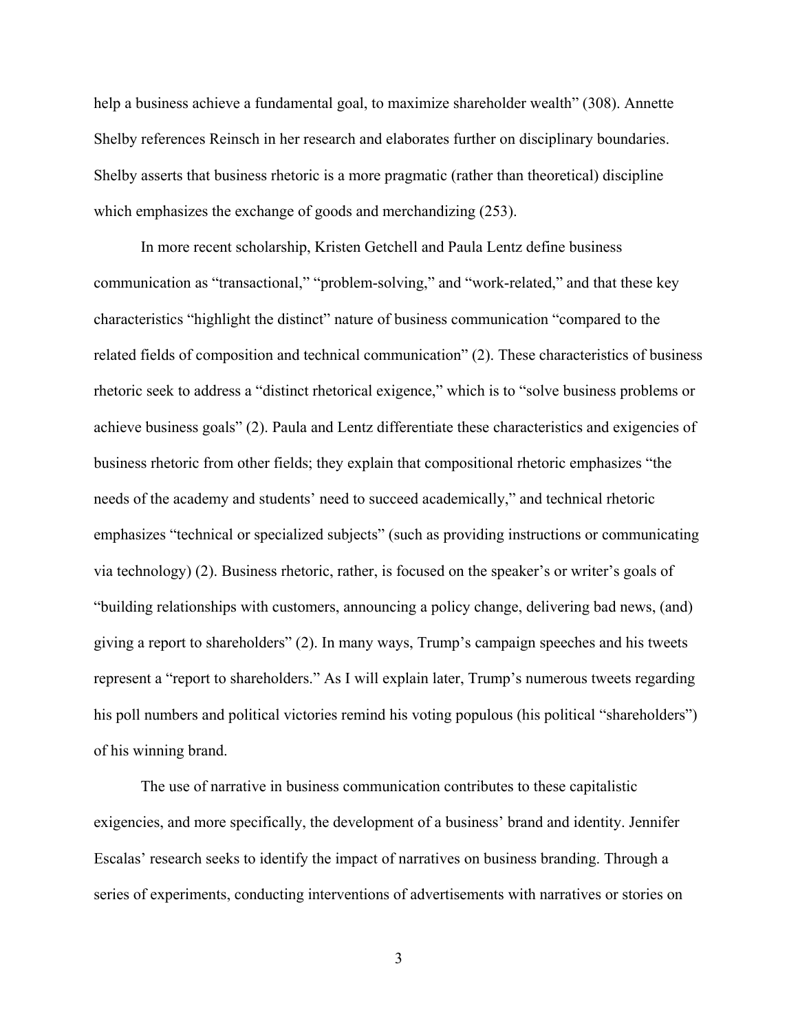help a business achieve a fundamental goal, to maximize shareholder wealth" (308). Annette Shelby references Reinsch in her research and elaborates further on disciplinary boundaries. Shelby asserts that business rhetoric is a more pragmatic (rather than theoretical) discipline which emphasizes the exchange of goods and merchandizing (253).

In more recent scholarship, Kristen Getchell and Paula Lentz define business communication as "transactional," "problem-solving," and "work-related," and that these key characteristics "highlight the distinct" nature of business communication "compared to the related fields of composition and technical communication" (2). These characteristics of business rhetoric seek to address a "distinct rhetorical exigence," which is to "solve business problems or achieve business goals" (2). Paula and Lentz differentiate these characteristics and exigencies of business rhetoric from other fields; they explain that compositional rhetoric emphasizes "the needs of the academy and students' need to succeed academically," and technical rhetoric emphasizes "technical or specialized subjects" (such as providing instructions or communicating via technology) (2). Business rhetoric, rather, is focused on the speaker's or writer's goals of "building relationships with customers, announcing a policy change, delivering bad news, (and) giving a report to shareholders" (2). In many ways, Trump's campaign speeches and his tweets represent a "report to shareholders." As I will explain later, Trump's numerous tweets regarding his poll numbers and political victories remind his voting populous (his political "shareholders") of his winning brand.

The use of narrative in business communication contributes to these capitalistic exigencies, and more specifically, the development of a business' brand and identity. Jennifer Escalas' research seeks to identify the impact of narratives on business branding. Through a series of experiments, conducting interventions of advertisements with narratives or stories on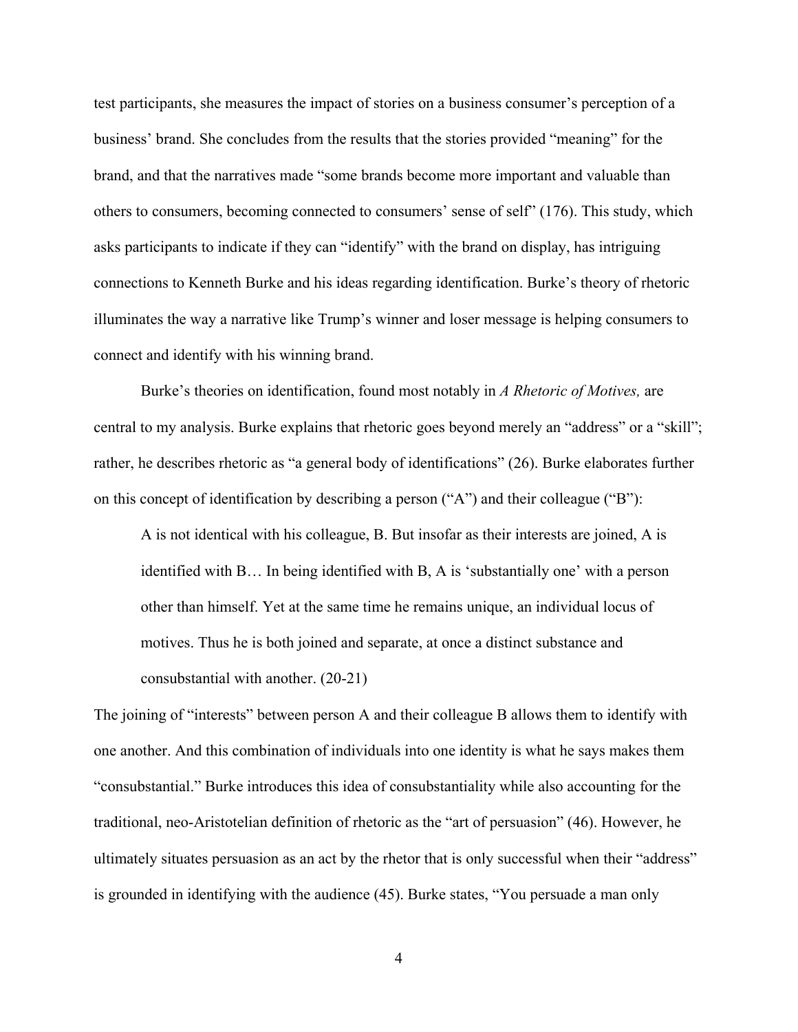test participants, she measures the impact of stories on a business consumer's perception of a business' brand. She concludes from the results that the stories provided "meaning" for the brand, and that the narratives made "some brands become more important and valuable than others to consumers, becoming connected to consumers' sense of self" (176). This study, which asks participants to indicate if they can "identify" with the brand on display, has intriguing connections to Kenneth Burke and his ideas regarding identification. Burke's theory of rhetoric illuminates the way a narrative like Trump's winner and loser message is helping consumers to connect and identify with his winning brand.

 Burke's theories on identification, found most notably in *A Rhetoric of Motives,* are central to my analysis. Burke explains that rhetoric goes beyond merely an "address" or a "skill"; rather, he describes rhetoric as "a general body of identifications" (26). Burke elaborates further on this concept of identification by describing a person ("A") and their colleague ("B"):

A is not identical with his colleague, B. But insofar as their interests are joined, A is identified with B… In being identified with B, A is 'substantially one' with a person other than himself. Yet at the same time he remains unique, an individual locus of motives. Thus he is both joined and separate, at once a distinct substance and consubstantial with another. (20-21)

The joining of "interests" between person A and their colleague B allows them to identify with one another. And this combination of individuals into one identity is what he says makes them "consubstantial." Burke introduces this idea of consubstantiality while also accounting for the traditional, neo-Aristotelian definition of rhetoric as the "art of persuasion" (46). However, he ultimately situates persuasion as an act by the rhetor that is only successful when their "address" is grounded in identifying with the audience (45). Burke states, "You persuade a man only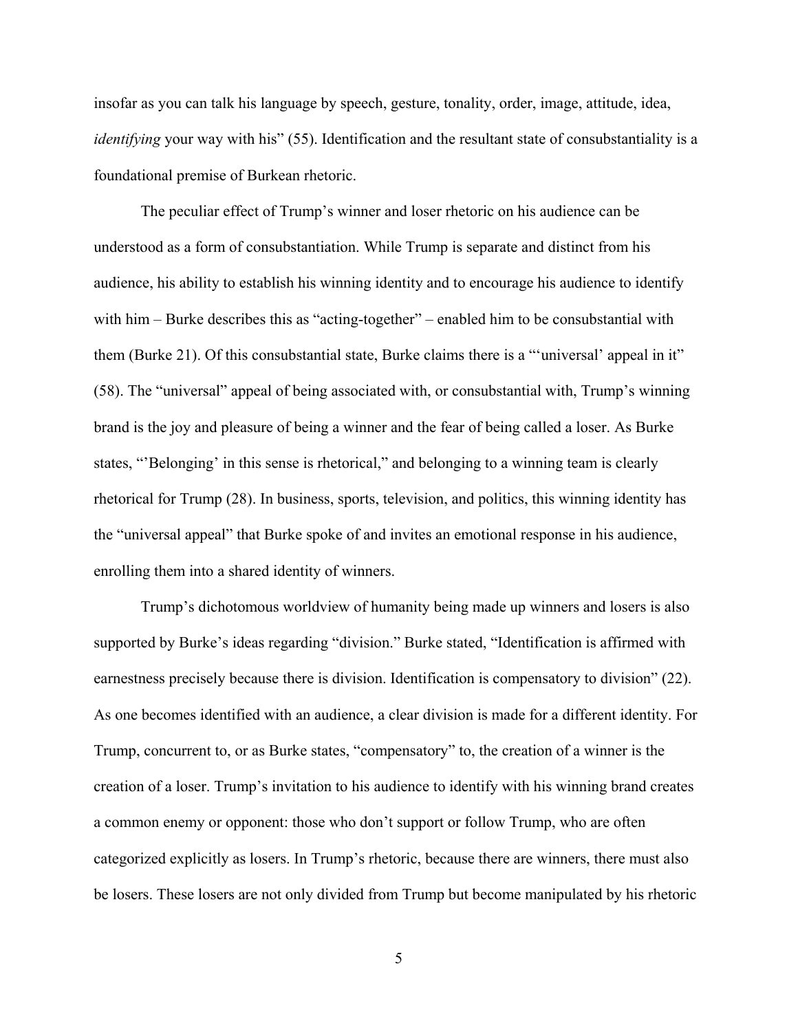insofar as you can talk his language by speech, gesture, tonality, order, image, attitude, idea, *identifying* your way with his" (55). Identification and the resultant state of consubstantiality is a foundational premise of Burkean rhetoric.

The peculiar effect of Trump's winner and loser rhetoric on his audience can be understood as a form of consubstantiation. While Trump is separate and distinct from his audience, his ability to establish his winning identity and to encourage his audience to identify with him – Burke describes this as "acting-together" – enabled him to be consubstantial with them (Burke 21). Of this consubstantial state, Burke claims there is a "'universal' appeal in it" (58). The "universal" appeal of being associated with, or consubstantial with, Trump's winning brand is the joy and pleasure of being a winner and the fear of being called a loser. As Burke states, "'Belonging' in this sense is rhetorical," and belonging to a winning team is clearly rhetorical for Trump (28). In business, sports, television, and politics, this winning identity has the "universal appeal" that Burke spoke of and invites an emotional response in his audience, enrolling them into a shared identity of winners.

 Trump's dichotomous worldview of humanity being made up winners and losers is also supported by Burke's ideas regarding "division." Burke stated, "Identification is affirmed with earnestness precisely because there is division. Identification is compensatory to division" (22). As one becomes identified with an audience, a clear division is made for a different identity. For Trump, concurrent to, or as Burke states, "compensatory" to, the creation of a winner is the creation of a loser. Trump's invitation to his audience to identify with his winning brand creates a common enemy or opponent: those who don't support or follow Trump, who are often categorized explicitly as losers. In Trump's rhetoric, because there are winners, there must also be losers. These losers are not only divided from Trump but become manipulated by his rhetoric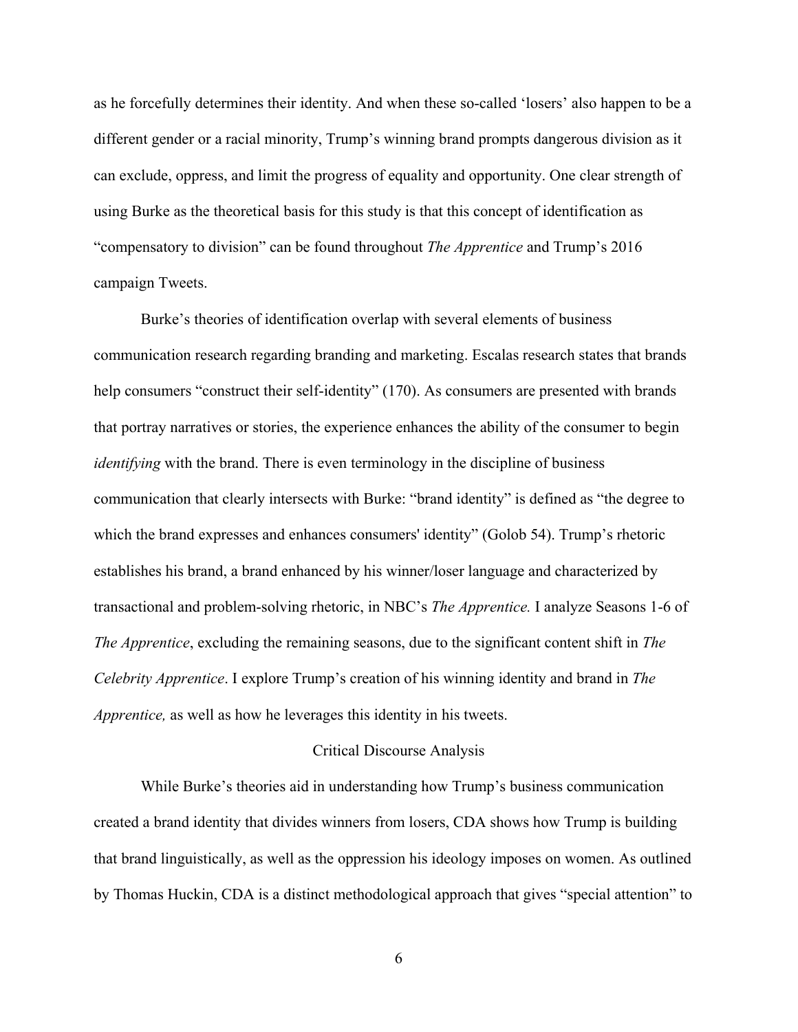as he forcefully determines their identity. And when these so-called 'losers' also happen to be a different gender or a racial minority, Trump's winning brand prompts dangerous division as it can exclude, oppress, and limit the progress of equality and opportunity. One clear strength of using Burke as the theoretical basis for this study is that this concept of identification as "compensatory to division" can be found throughout *The Apprentice* and Trump's 2016 campaign Tweets.

 Burke's theories of identification overlap with several elements of business communication research regarding branding and marketing. Escalas research states that brands help consumers "construct their self-identity" (170). As consumers are presented with brands that portray narratives or stories, the experience enhances the ability of the consumer to begin *identifying* with the brand. There is even terminology in the discipline of business communication that clearly intersects with Burke: "brand identity" is defined as "the degree to which the brand expresses and enhances consumers' identity" (Golob 54). Trump's rhetoric establishes his brand, a brand enhanced by his winner/loser language and characterized by transactional and problem-solving rhetoric, in NBC's *The Apprentice.* I analyze Seasons 1-6 of *The Apprentice*, excluding the remaining seasons, due to the significant content shift in *The Celebrity Apprentice*. I explore Trump's creation of his winning identity and brand in *The Apprentice,* as well as how he leverages this identity in his tweets.

#### Critical Discourse Analysis

<span id="page-10-0"></span>While Burke's theories aid in understanding how Trump's business communication created a brand identity that divides winners from losers, CDA shows how Trump is building that brand linguistically, as well as the oppression his ideology imposes on women. As outlined by Thomas Huckin, CDA is a distinct methodological approach that gives "special attention" to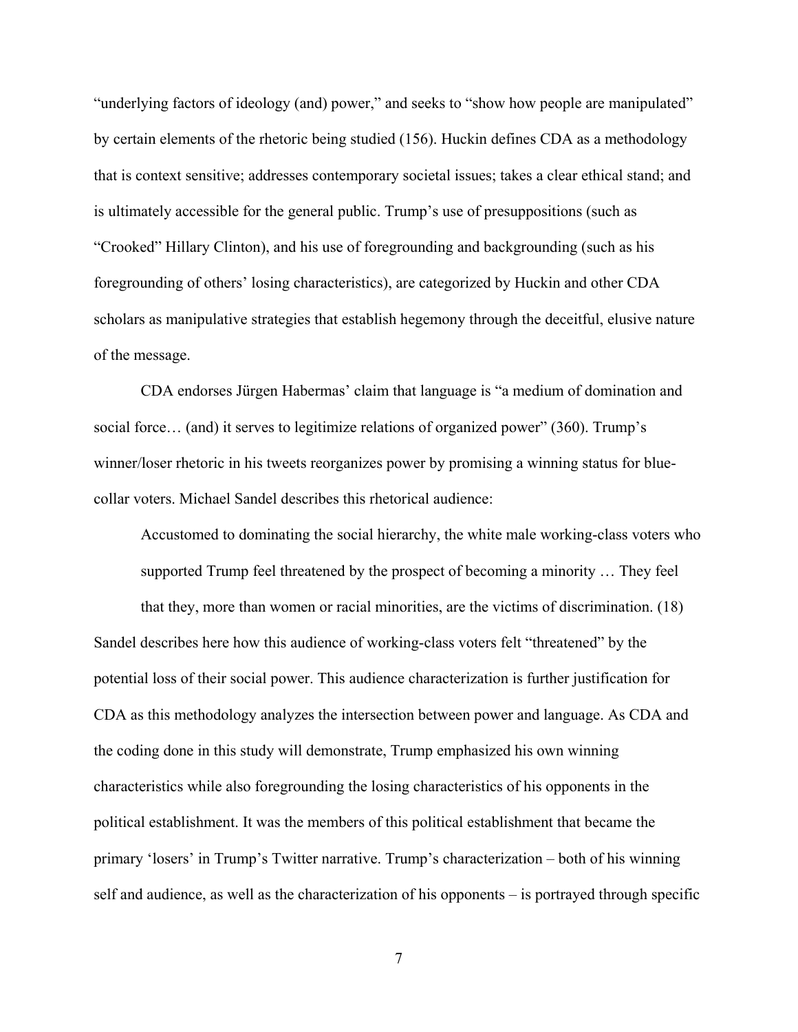"underlying factors of ideology (and) power," and seeks to "show how people are manipulated" by certain elements of the rhetoric being studied (156). Huckin defines CDA as a methodology that is context sensitive; addresses contemporary societal issues; takes a clear ethical stand; and is ultimately accessible for the general public. Trump's use of presuppositions (such as "Crooked" Hillary Clinton), and his use of foregrounding and backgrounding (such as his foregrounding of others' losing characteristics), are categorized by Huckin and other CDA scholars as manipulative strategies that establish hegemony through the deceitful, elusive nature of the message.

CDA endorses Jürgen Habermas' claim that language is "a medium of domination and social force… (and) it serves to legitimize relations of organized power" (360). Trump's winner/loser rhetoric in his tweets reorganizes power by promising a winning status for bluecollar voters. Michael Sandel describes this rhetorical audience:

Accustomed to dominating the social hierarchy, the white male working-class voters who supported Trump feel threatened by the prospect of becoming a minority … They feel

that they, more than women or racial minorities, are the victims of discrimination. (18) Sandel describes here how this audience of working-class voters felt "threatened" by the potential loss of their social power. This audience characterization is further justification for CDA as this methodology analyzes the intersection between power and language. As CDA and the coding done in this study will demonstrate, Trump emphasized his own winning characteristics while also foregrounding the losing characteristics of his opponents in the political establishment. It was the members of this political establishment that became the primary 'losers' in Trump's Twitter narrative. Trump's characterization – both of his winning self and audience, as well as the characterization of his opponents – is portrayed through specific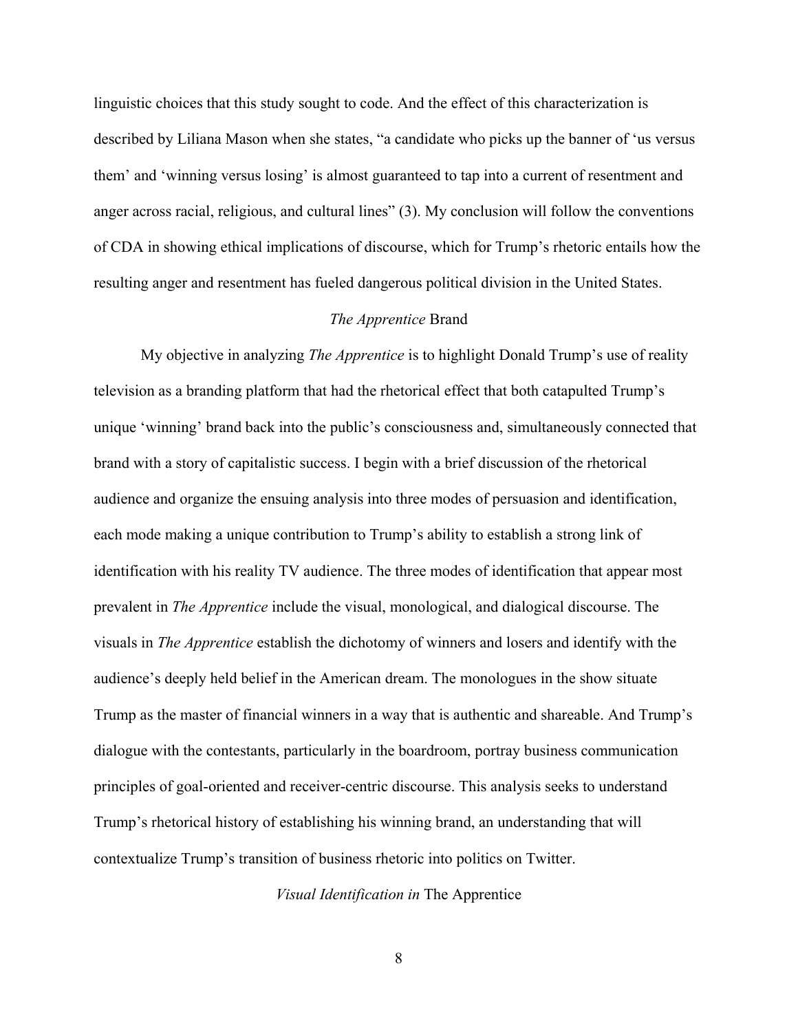linguistic choices that this study sought to code. And the effect of this characterization is described by Liliana Mason when she states, "a candidate who picks up the banner of 'us versus them' and 'winning versus losing' is almost guaranteed to tap into a current of resentment and anger across racial, religious, and cultural lines" (3). My conclusion will follow the conventions of CDA in showing ethical implications of discourse, which for Trump's rhetoric entails how the resulting anger and resentment has fueled dangerous political division in the United States.

#### *The Apprentice* Brand

<span id="page-12-0"></span>My objective in analyzing *The Apprentice* is to highlight Donald Trump's use of reality television as a branding platform that had the rhetorical effect that both catapulted Trump's unique 'winning' brand back into the public's consciousness and, simultaneously connected that brand with a story of capitalistic success. I begin with a brief discussion of the rhetorical audience and organize the ensuing analysis into three modes of persuasion and identification, each mode making a unique contribution to Trump's ability to establish a strong link of identification with his reality TV audience. The three modes of identification that appear most prevalent in *The Apprentice* include the visual, monological, and dialogical discourse. The visuals in *The Apprentice* establish the dichotomy of winners and losers and identify with the audience's deeply held belief in the American dream. The monologues in the show situate Trump as the master of financial winners in a way that is authentic and shareable. And Trump's dialogue with the contestants, particularly in the boardroom, portray business communication principles of goal-oriented and receiver-centric discourse. This analysis seeks to understand Trump's rhetorical history of establishing his winning brand, an understanding that will contextualize Trump's transition of business rhetoric into politics on Twitter.

<span id="page-12-1"></span>*Visual Identification in* The Apprentice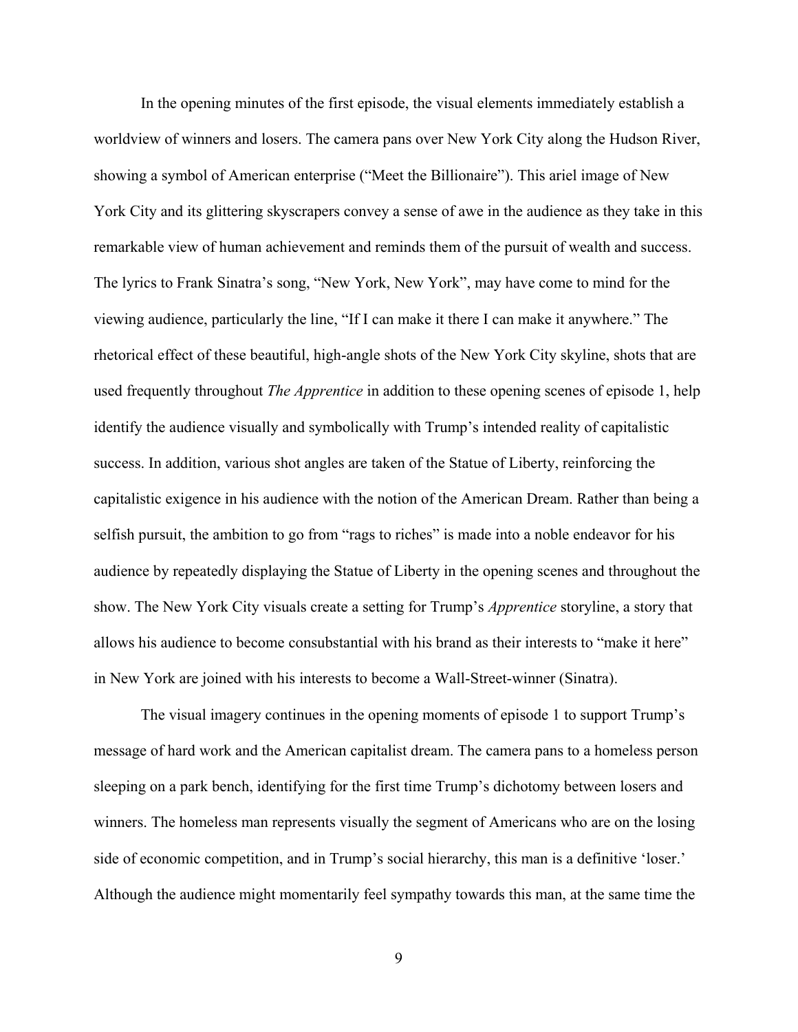In the opening minutes of the first episode, the visual elements immediately establish a worldview of winners and losers. The camera pans over New York City along the Hudson River, showing a symbol of American enterprise ("Meet the Billionaire"). This ariel image of New York City and its glittering skyscrapers convey a sense of awe in the audience as they take in this remarkable view of human achievement and reminds them of the pursuit of wealth and success. The lyrics to Frank Sinatra's song, "New York, New York", may have come to mind for the viewing audience, particularly the line, "If I can make it there I can make it anywhere." The rhetorical effect of these beautiful, high-angle shots of the New York City skyline, shots that are used frequently throughout *The Apprentice* in addition to these opening scenes of episode 1, help identify the audience visually and symbolically with Trump's intended reality of capitalistic success. In addition, various shot angles are taken of the Statue of Liberty, reinforcing the capitalistic exigence in his audience with the notion of the American Dream. Rather than being a selfish pursuit, the ambition to go from "rags to riches" is made into a noble endeavor for his audience by repeatedly displaying the Statue of Liberty in the opening scenes and throughout the show. The New York City visuals create a setting for Trump's *Apprentice* storyline, a story that allows his audience to become consubstantial with his brand as their interests to "make it here" in New York are joined with his interests to become a Wall-Street-winner (Sinatra).

The visual imagery continues in the opening moments of episode 1 to support Trump's message of hard work and the American capitalist dream. The camera pans to a homeless person sleeping on a park bench, identifying for the first time Trump's dichotomy between losers and winners. The homeless man represents visually the segment of Americans who are on the losing side of economic competition, and in Trump's social hierarchy, this man is a definitive 'loser.' Although the audience might momentarily feel sympathy towards this man, at the same time the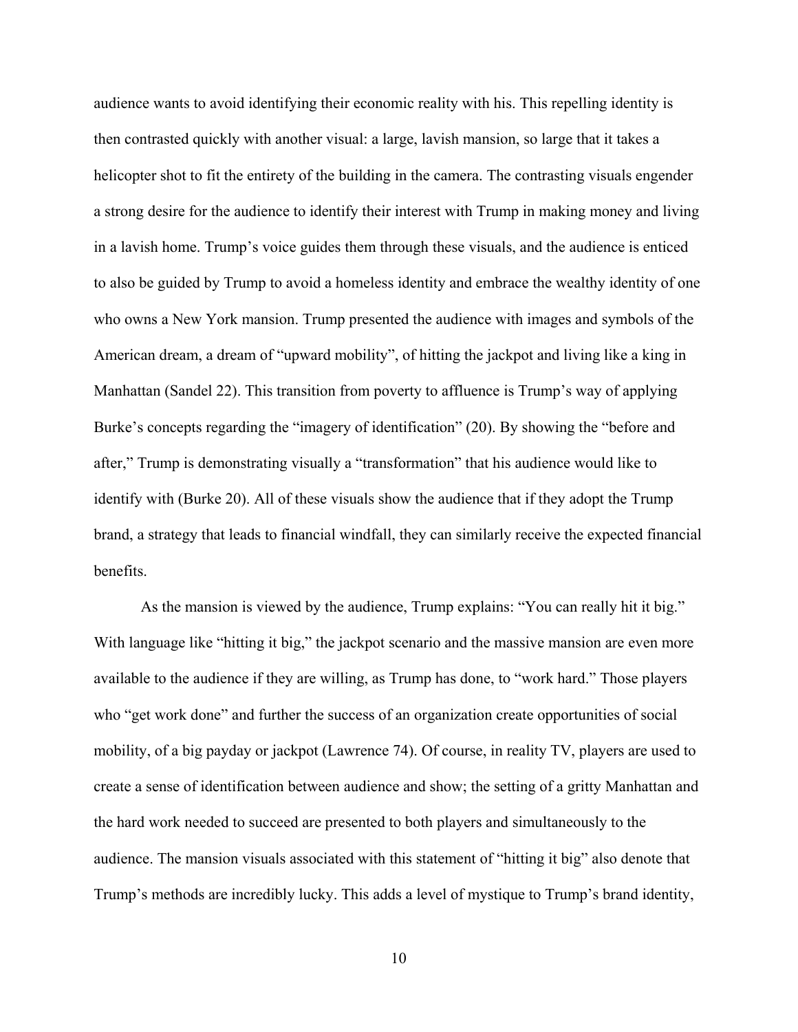audience wants to avoid identifying their economic reality with his. This repelling identity is then contrasted quickly with another visual: a large, lavish mansion, so large that it takes a helicopter shot to fit the entirety of the building in the camera. The contrasting visuals engender a strong desire for the audience to identify their interest with Trump in making money and living in a lavish home. Trump's voice guides them through these visuals, and the audience is enticed to also be guided by Trump to avoid a homeless identity and embrace the wealthy identity of one who owns a New York mansion. Trump presented the audience with images and symbols of the American dream, a dream of "upward mobility", of hitting the jackpot and living like a king in Manhattan (Sandel 22). This transition from poverty to affluence is Trump's way of applying Burke's concepts regarding the "imagery of identification" (20). By showing the "before and after," Trump is demonstrating visually a "transformation" that his audience would like to identify with (Burke 20). All of these visuals show the audience that if they adopt the Trump brand, a strategy that leads to financial windfall, they can similarly receive the expected financial benefits.

 As the mansion is viewed by the audience, Trump explains: "You can really hit it big." With language like "hitting it big," the jackpot scenario and the massive mansion are even more available to the audience if they are willing, as Trump has done, to "work hard." Those players who "get work done" and further the success of an organization create opportunities of social mobility, of a big payday or jackpot (Lawrence 74). Of course, in reality TV, players are used to create a sense of identification between audience and show; the setting of a gritty Manhattan and the hard work needed to succeed are presented to both players and simultaneously to the audience. The mansion visuals associated with this statement of "hitting it big" also denote that Trump's methods are incredibly lucky. This adds a level of mystique to Trump's brand identity,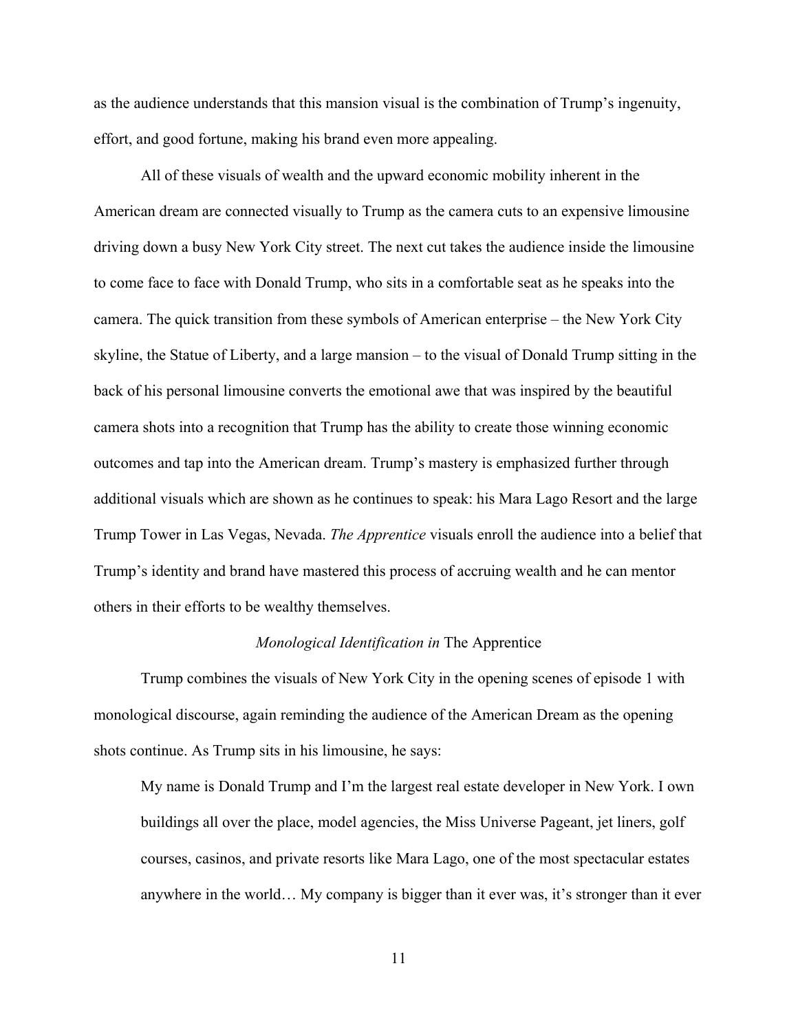as the audience understands that this mansion visual is the combination of Trump's ingenuity, effort, and good fortune, making his brand even more appealing.

 All of these visuals of wealth and the upward economic mobility inherent in the American dream are connected visually to Trump as the camera cuts to an expensive limousine driving down a busy New York City street. The next cut takes the audience inside the limousine to come face to face with Donald Trump, who sits in a comfortable seat as he speaks into the camera. The quick transition from these symbols of American enterprise – the New York City skyline, the Statue of Liberty, and a large mansion – to the visual of Donald Trump sitting in the back of his personal limousine converts the emotional awe that was inspired by the beautiful camera shots into a recognition that Trump has the ability to create those winning economic outcomes and tap into the American dream. Trump's mastery is emphasized further through additional visuals which are shown as he continues to speak: his Mara Lago Resort and the large Trump Tower in Las Vegas, Nevada. *The Apprentice* visuals enroll the audience into a belief that Trump's identity and brand have mastered this process of accruing wealth and he can mentor others in their efforts to be wealthy themselves.

#### *Monological Identification in* The Apprentice

<span id="page-15-0"></span>Trump combines the visuals of New York City in the opening scenes of episode 1 with monological discourse, again reminding the audience of the American Dream as the opening shots continue. As Trump sits in his limousine, he says:

My name is Donald Trump and I'm the largest real estate developer in New York. I own buildings all over the place, model agencies, the Miss Universe Pageant, jet liners, golf courses, casinos, and private resorts like Mara Lago, one of the most spectacular estates anywhere in the world… My company is bigger than it ever was, it's stronger than it ever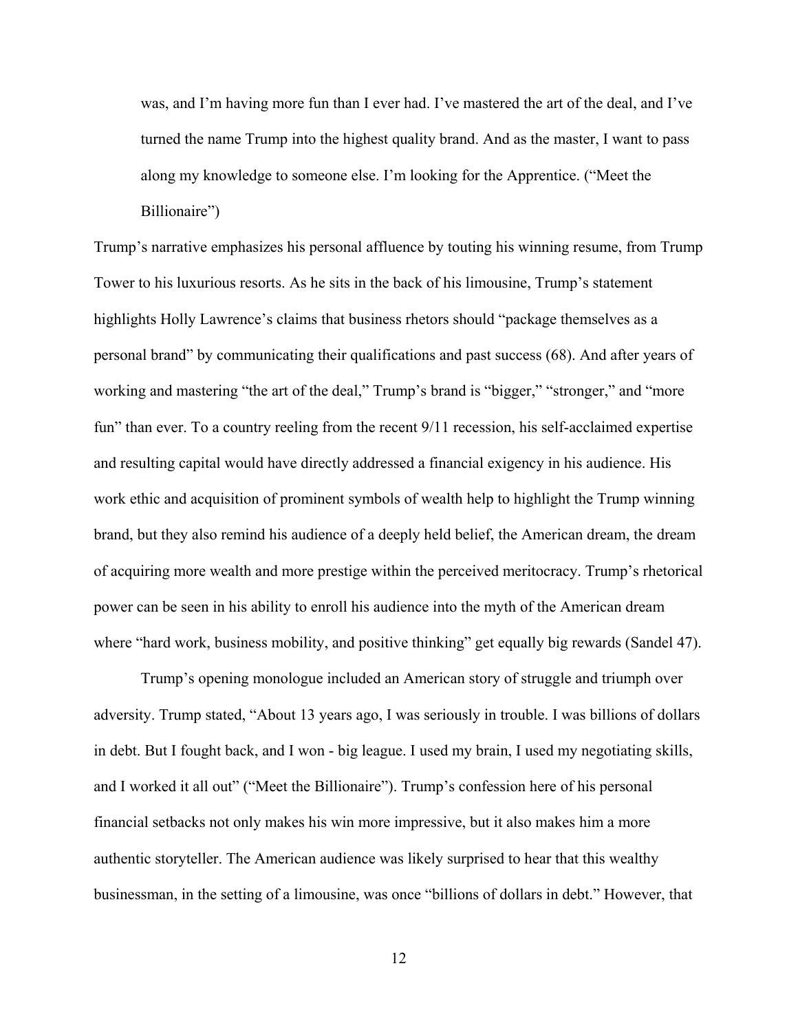was, and I'm having more fun than I ever had. I've mastered the art of the deal, and I've turned the name Trump into the highest quality brand. And as the master, I want to pass along my knowledge to someone else. I'm looking for the Apprentice. ("Meet the Billionaire")

Trump's narrative emphasizes his personal affluence by touting his winning resume, from Trump Tower to his luxurious resorts. As he sits in the back of his limousine, Trump's statement highlights Holly Lawrence's claims that business rhetors should "package themselves as a personal brand" by communicating their qualifications and past success (68). And after years of working and mastering "the art of the deal," Trump's brand is "bigger," "stronger," and "more fun" than ever. To a country reeling from the recent  $9/11$  recession, his self-acclaimed expertise and resulting capital would have directly addressed a financial exigency in his audience. His work ethic and acquisition of prominent symbols of wealth help to highlight the Trump winning brand, but they also remind his audience of a deeply held belief, the American dream, the dream of acquiring more wealth and more prestige within the perceived meritocracy. Trump's rhetorical power can be seen in his ability to enroll his audience into the myth of the American dream where "hard work, business mobility, and positive thinking" get equally big rewards (Sandel 47).

 Trump's opening monologue included an American story of struggle and triumph over adversity. Trump stated, "About 13 years ago, I was seriously in trouble. I was billions of dollars in debt. But I fought back, and I won - big league. I used my brain, I used my negotiating skills, and I worked it all out" ("Meet the Billionaire"). Trump's confession here of his personal financial setbacks not only makes his win more impressive, but it also makes him a more authentic storyteller. The American audience was likely surprised to hear that this wealthy businessman, in the setting of a limousine, was once "billions of dollars in debt." However, that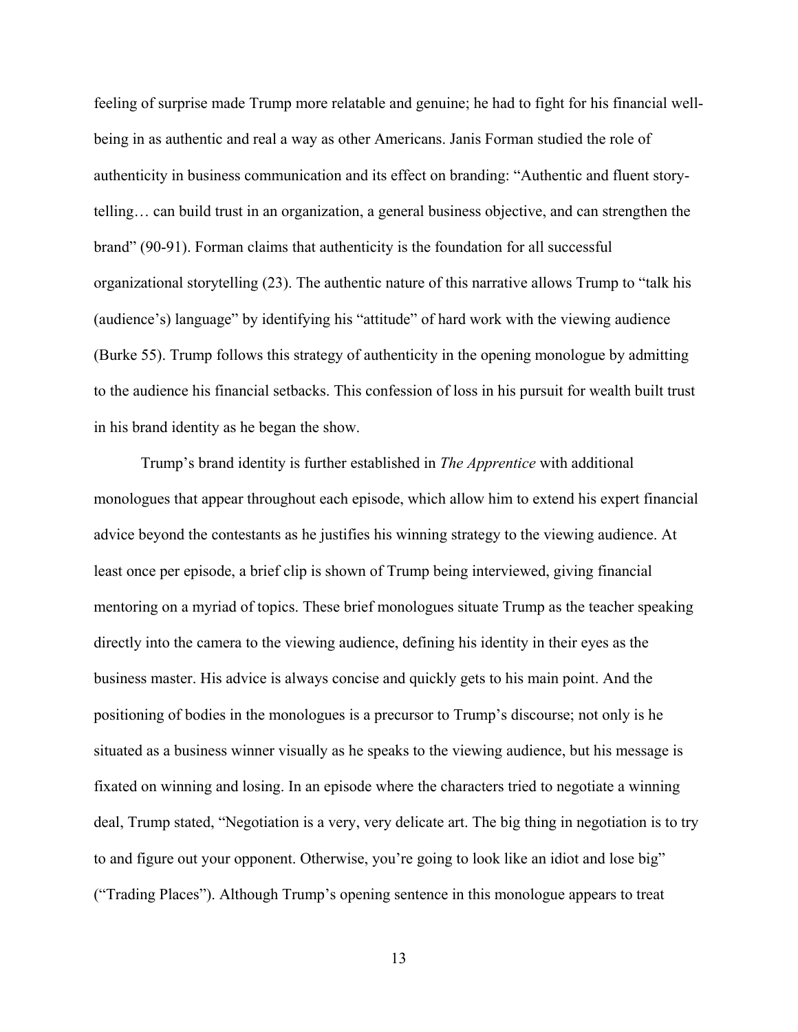feeling of surprise made Trump more relatable and genuine; he had to fight for his financial wellbeing in as authentic and real a way as other Americans. Janis Forman studied the role of authenticity in business communication and its effect on branding: "Authentic and fluent storytelling… can build trust in an organization, a general business objective, and can strengthen the brand" (90-91). Forman claims that authenticity is the foundation for all successful organizational storytelling (23). The authentic nature of this narrative allows Trump to "talk his (audience's) language" by identifying his "attitude" of hard work with the viewing audience (Burke 55). Trump follows this strategy of authenticity in the opening monologue by admitting to the audience his financial setbacks. This confession of loss in his pursuit for wealth built trust in his brand identity as he began the show.

Trump's brand identity is further established in *The Apprentice* with additional monologues that appear throughout each episode, which allow him to extend his expert financial advice beyond the contestants as he justifies his winning strategy to the viewing audience. At least once per episode, a brief clip is shown of Trump being interviewed, giving financial mentoring on a myriad of topics. These brief monologues situate Trump as the teacher speaking directly into the camera to the viewing audience, defining his identity in their eyes as the business master. His advice is always concise and quickly gets to his main point. And the positioning of bodies in the monologues is a precursor to Trump's discourse; not only is he situated as a business winner visually as he speaks to the viewing audience, but his message is fixated on winning and losing. In an episode where the characters tried to negotiate a winning deal, Trump stated, "Negotiation is a very, very delicate art. The big thing in negotiation is to try to and figure out your opponent. Otherwise, you're going to look like an idiot and lose big" ("Trading Places"). Although Trump's opening sentence in this monologue appears to treat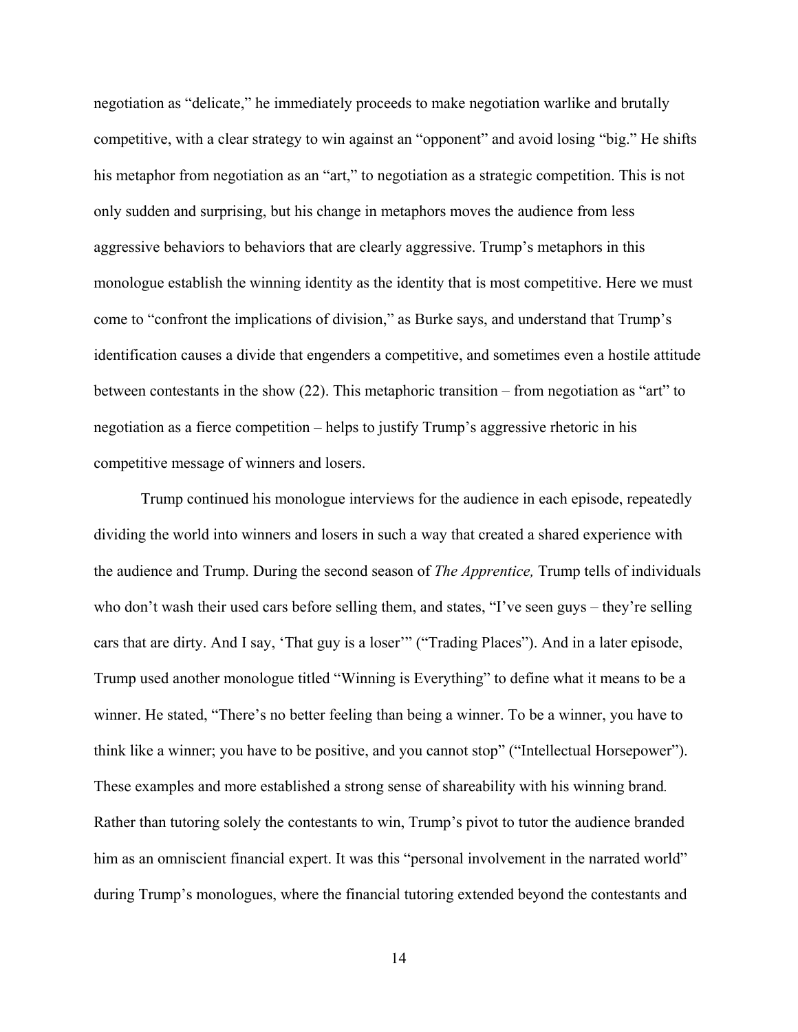negotiation as "delicate," he immediately proceeds to make negotiation warlike and brutally competitive, with a clear strategy to win against an "opponent" and avoid losing "big." He shifts his metaphor from negotiation as an "art," to negotiation as a strategic competition. This is not only sudden and surprising, but his change in metaphors moves the audience from less aggressive behaviors to behaviors that are clearly aggressive. Trump's metaphors in this monologue establish the winning identity as the identity that is most competitive. Here we must come to "confront the implications of division," as Burke says, and understand that Trump's identification causes a divide that engenders a competitive, and sometimes even a hostile attitude between contestants in the show (22). This metaphoric transition – from negotiation as "art" to negotiation as a fierce competition – helps to justify Trump's aggressive rhetoric in his competitive message of winners and losers.

Trump continued his monologue interviews for the audience in each episode, repeatedly dividing the world into winners and losers in such a way that created a shared experience with the audience and Trump. During the second season of *The Apprentice,* Trump tells of individuals who don't wash their used cars before selling them, and states, "I've seen guys – they're selling cars that are dirty. And I say, 'That guy is a loser'" ("Trading Places"). And in a later episode, Trump used another monologue titled "Winning is Everything" to define what it means to be a winner. He stated, "There's no better feeling than being a winner. To be a winner, you have to think like a winner; you have to be positive, and you cannot stop" ("Intellectual Horsepower"). These examples and more established a strong sense of shareability with his winning brand*.* Rather than tutoring solely the contestants to win, Trump's pivot to tutor the audience branded him as an omniscient financial expert. It was this "personal involvement in the narrated world" during Trump's monologues, where the financial tutoring extended beyond the contestants and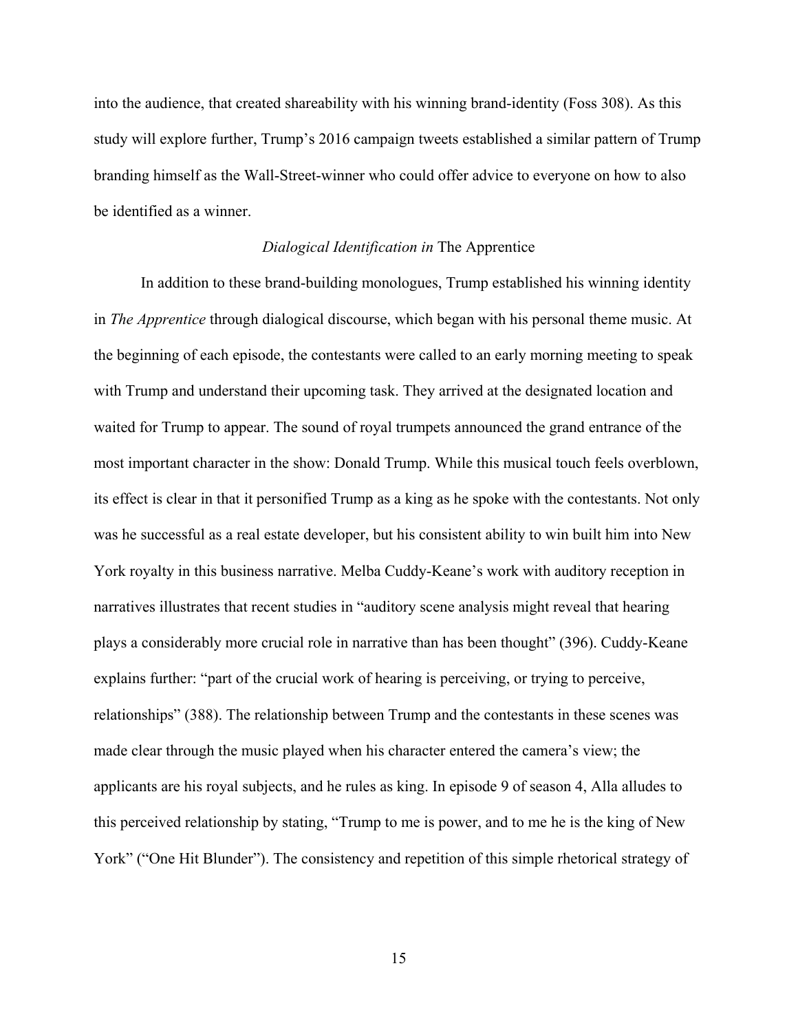into the audience, that created shareability with his winning brand-identity (Foss 308). As this study will explore further, Trump's 2016 campaign tweets established a similar pattern of Trump branding himself as the Wall-Street-winner who could offer advice to everyone on how to also be identified as a winner.

#### *Dialogical Identification in* The Apprentice

<span id="page-19-0"></span> In addition to these brand-building monologues, Trump established his winning identity in *The Apprentice* through dialogical discourse, which began with his personal theme music. At the beginning of each episode, the contestants were called to an early morning meeting to speak with Trump and understand their upcoming task. They arrived at the designated location and waited for Trump to appear. The sound of royal trumpets announced the grand entrance of the most important character in the show: Donald Trump. While this musical touch feels overblown, its effect is clear in that it personified Trump as a king as he spoke with the contestants. Not only was he successful as a real estate developer, but his consistent ability to win built him into New York royalty in this business narrative. Melba Cuddy-Keane's work with auditory reception in narratives illustrates that recent studies in "auditory scene analysis might reveal that hearing plays a considerably more crucial role in narrative than has been thought" (396). Cuddy-Keane explains further: "part of the crucial work of hearing is perceiving, or trying to perceive, relationships" (388). The relationship between Trump and the contestants in these scenes was made clear through the music played when his character entered the camera's view; the applicants are his royal subjects, and he rules as king. In episode 9 of season 4, Alla alludes to this perceived relationship by stating, "Trump to me is power, and to me he is the king of New York" ("One Hit Blunder"). The consistency and repetition of this simple rhetorical strategy of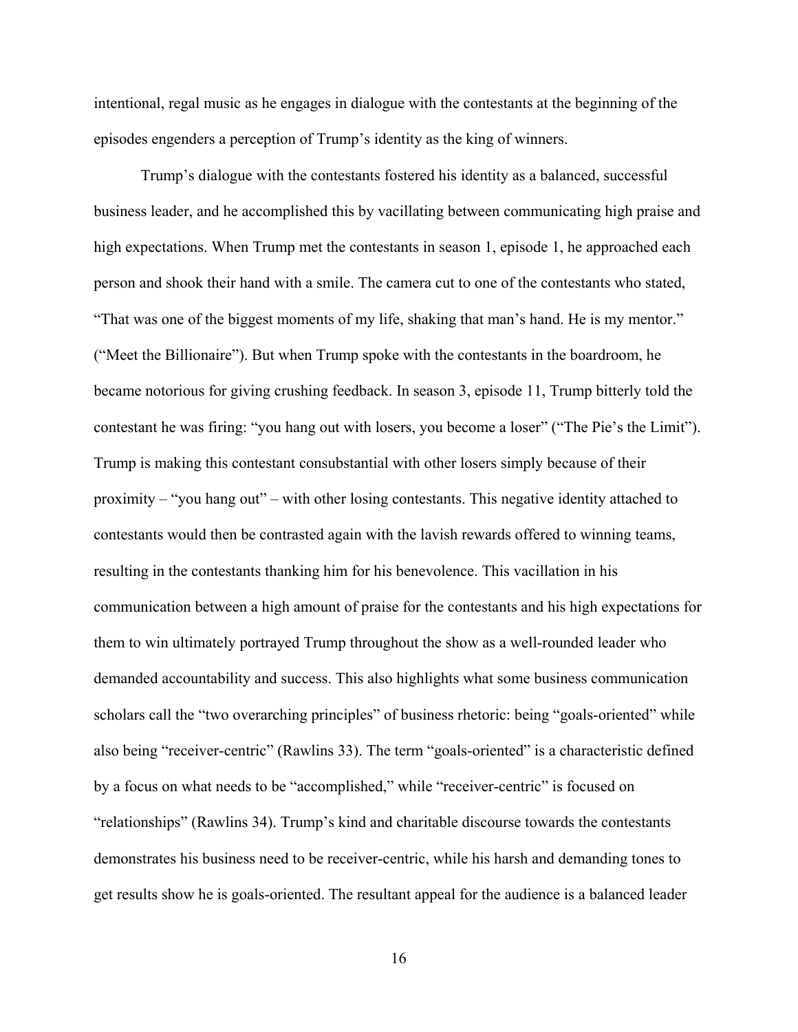intentional, regal music as he engages in dialogue with the contestants at the beginning of the episodes engenders a perception of Trump's identity as the king of winners.

Trump's dialogue with the contestants fostered his identity as a balanced, successful business leader, and he accomplished this by vacillating between communicating high praise and high expectations. When Trump met the contestants in season 1, episode 1, he approached each person and shook their hand with a smile. The camera cut to one of the contestants who stated, "That was one of the biggest moments of my life, shaking that man's hand. He is my mentor." ("Meet the Billionaire"). But when Trump spoke with the contestants in the boardroom, he became notorious for giving crushing feedback. In season 3, episode 11, Trump bitterly told the contestant he was firing: "you hang out with losers, you become a loser" ("The Pie's the Limit"). Trump is making this contestant consubstantial with other losers simply because of their proximity – "you hang out" – with other losing contestants. This negative identity attached to contestants would then be contrasted again with the lavish rewards offered to winning teams, resulting in the contestants thanking him for his benevolence. This vacillation in his communication between a high amount of praise for the contestants and his high expectations for them to win ultimately portrayed Trump throughout the show as a well-rounded leader who demanded accountability and success. This also highlights what some business communication scholars call the "two overarching principles" of business rhetoric: being "goals-oriented" while also being "receiver-centric" (Rawlins 33). The term "goals-oriented" is a characteristic defined by a focus on what needs to be "accomplished," while "receiver-centric" is focused on "relationships" (Rawlins 34). Trump's kind and charitable discourse towards the contestants demonstrates his business need to be receiver-centric, while his harsh and demanding tones to get results show he is goals-oriented. The resultant appeal for the audience is a balanced leader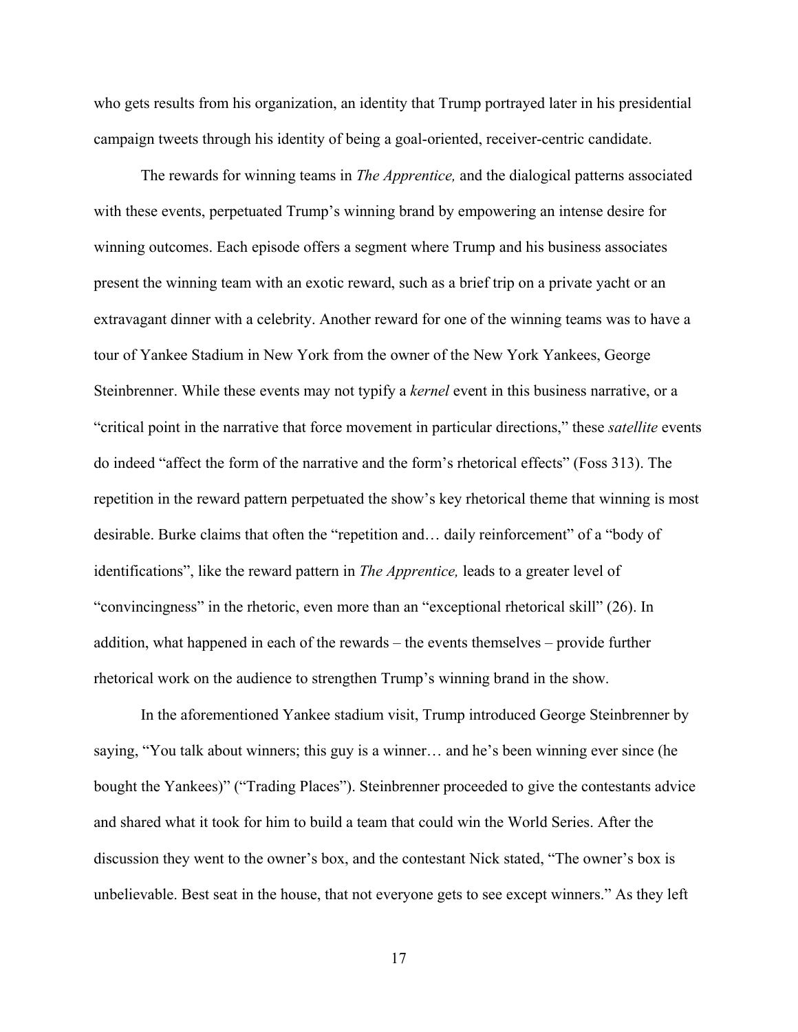who gets results from his organization, an identity that Trump portrayed later in his presidential campaign tweets through his identity of being a goal-oriented, receiver-centric candidate.

 The rewards for winning teams in *The Apprentice,* and the dialogical patterns associated with these events, perpetuated Trump's winning brand by empowering an intense desire for winning outcomes. Each episode offers a segment where Trump and his business associates present the winning team with an exotic reward, such as a brief trip on a private yacht or an extravagant dinner with a celebrity. Another reward for one of the winning teams was to have a tour of Yankee Stadium in New York from the owner of the New York Yankees, George Steinbrenner. While these events may not typify a *kernel* event in this business narrative, or a "critical point in the narrative that force movement in particular directions," these *satellite* events do indeed "affect the form of the narrative and the form's rhetorical effects" (Foss 313). The repetition in the reward pattern perpetuated the show's key rhetorical theme that winning is most desirable. Burke claims that often the "repetition and… daily reinforcement" of a "body of identifications", like the reward pattern in *The Apprentice,* leads to a greater level of "convincingness" in the rhetoric, even more than an "exceptional rhetorical skill" (26). In addition, what happened in each of the rewards – the events themselves – provide further rhetorical work on the audience to strengthen Trump's winning brand in the show.

In the aforementioned Yankee stadium visit, Trump introduced George Steinbrenner by saying, "You talk about winners; this guy is a winner… and he's been winning ever since (he bought the Yankees)" ("Trading Places"). Steinbrenner proceeded to give the contestants advice and shared what it took for him to build a team that could win the World Series. After the discussion they went to the owner's box, and the contestant Nick stated, "The owner's box is unbelievable. Best seat in the house, that not everyone gets to see except winners." As they left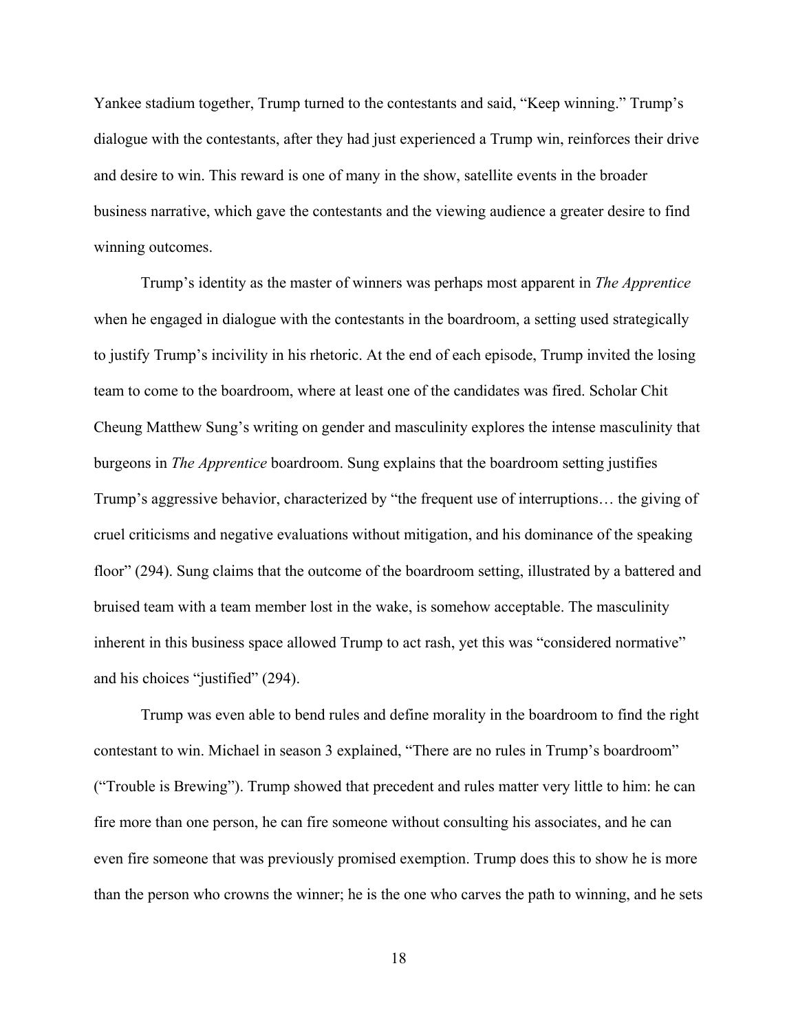Yankee stadium together, Trump turned to the contestants and said, "Keep winning." Trump's dialogue with the contestants, after they had just experienced a Trump win, reinforces their drive and desire to win. This reward is one of many in the show, satellite events in the broader business narrative, which gave the contestants and the viewing audience a greater desire to find winning outcomes.

Trump's identity as the master of winners was perhaps most apparent in *The Apprentice*  when he engaged in dialogue with the contestants in the boardroom, a setting used strategically to justify Trump's incivility in his rhetoric. At the end of each episode, Trump invited the losing team to come to the boardroom, where at least one of the candidates was fired. Scholar Chit Cheung Matthew Sung's writing on gender and masculinity explores the intense masculinity that burgeons in *The Apprentice* boardroom. Sung explains that the boardroom setting justifies Trump's aggressive behavior, characterized by "the frequent use of interruptions… the giving of cruel criticisms and negative evaluations without mitigation, and his dominance of the speaking floor" (294). Sung claims that the outcome of the boardroom setting, illustrated by a battered and bruised team with a team member lost in the wake, is somehow acceptable. The masculinity inherent in this business space allowed Trump to act rash, yet this was "considered normative" and his choices "justified" (294).

 Trump was even able to bend rules and define morality in the boardroom to find the right contestant to win. Michael in season 3 explained, "There are no rules in Trump's boardroom" ("Trouble is Brewing"). Trump showed that precedent and rules matter very little to him: he can fire more than one person, he can fire someone without consulting his associates, and he can even fire someone that was previously promised exemption. Trump does this to show he is more than the person who crowns the winner; he is the one who carves the path to winning, and he sets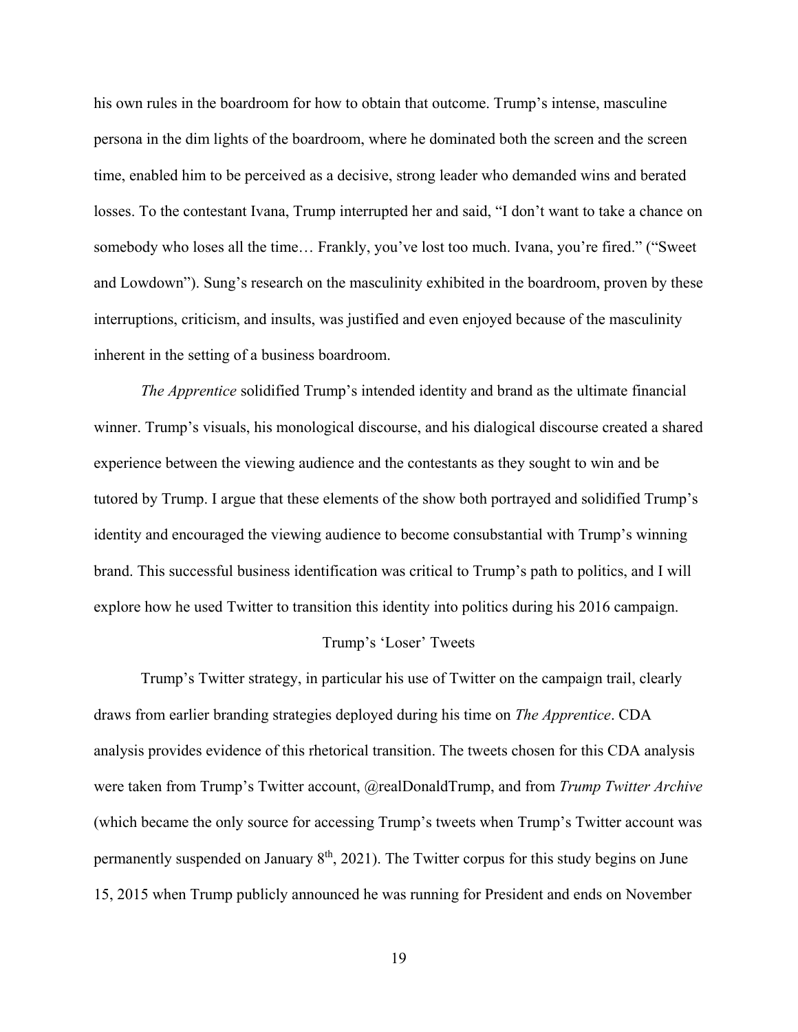his own rules in the boardroom for how to obtain that outcome. Trump's intense, masculine persona in the dim lights of the boardroom, where he dominated both the screen and the screen time, enabled him to be perceived as a decisive, strong leader who demanded wins and berated losses. To the contestant Ivana, Trump interrupted her and said, "I don't want to take a chance on somebody who loses all the time… Frankly, you've lost too much. Ivana, you're fired." ("Sweet and Lowdown"). Sung's research on the masculinity exhibited in the boardroom, proven by these interruptions, criticism, and insults, was justified and even enjoyed because of the masculinity inherent in the setting of a business boardroom.

*The Apprentice* solidified Trump's intended identity and brand as the ultimate financial winner. Trump's visuals, his monological discourse, and his dialogical discourse created a shared experience between the viewing audience and the contestants as they sought to win and be tutored by Trump. I argue that these elements of the show both portrayed and solidified Trump's identity and encouraged the viewing audience to become consubstantial with Trump's winning brand. This successful business identification was critical to Trump's path to politics, and I will explore how he used Twitter to transition this identity into politics during his 2016 campaign.

#### Trump's 'Loser' Tweets

<span id="page-23-0"></span>Trump's Twitter strategy, in particular his use of Twitter on the campaign trail, clearly draws from earlier branding strategies deployed during his time on *The Apprentice*. CDA analysis provides evidence of this rhetorical transition. The tweets chosen for this CDA analysis were taken from Trump's Twitter account, @realDonaldTrump, and from *Trump Twitter Archive*  (which became the only source for accessing Trump's tweets when Trump's Twitter account was permanently suspended on January  $8<sup>th</sup>$ , 2021). The Twitter corpus for this study begins on June 15, 2015 when Trump publicly announced he was running for President and ends on November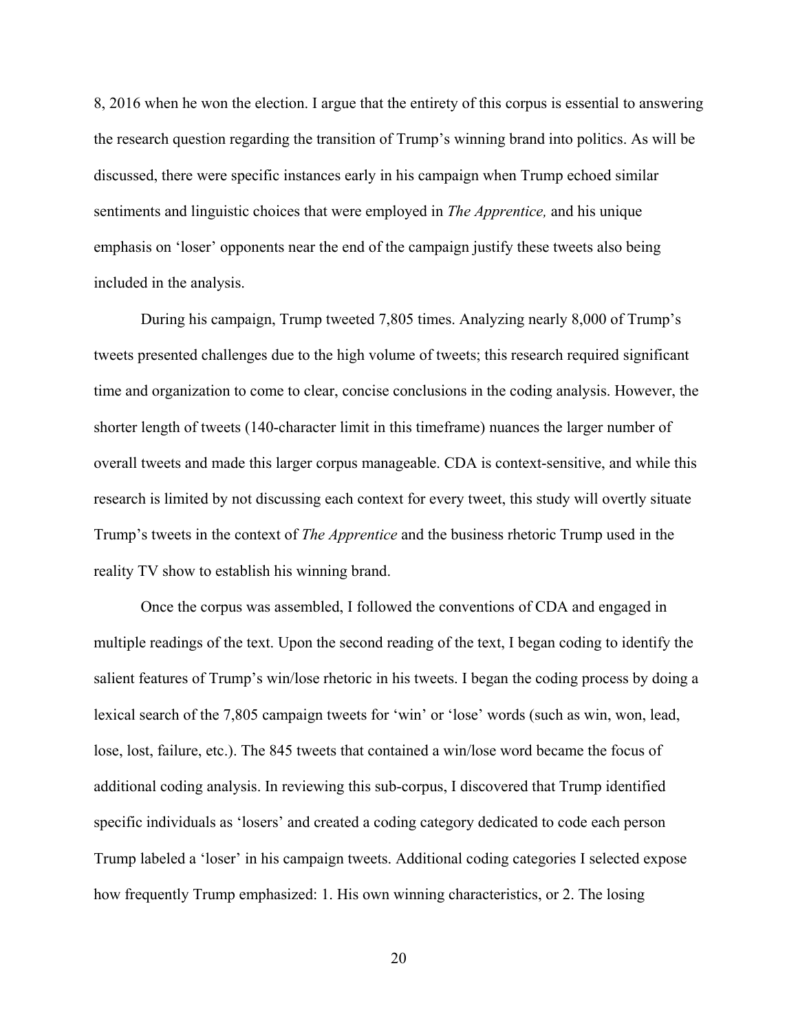8, 2016 when he won the election. I argue that the entirety of this corpus is essential to answering the research question regarding the transition of Trump's winning brand into politics. As will be discussed, there were specific instances early in his campaign when Trump echoed similar sentiments and linguistic choices that were employed in *The Apprentice,* and his unique emphasis on 'loser' opponents near the end of the campaign justify these tweets also being included in the analysis.

 During his campaign, Trump tweeted 7,805 times. Analyzing nearly 8,000 of Trump's tweets presented challenges due to the high volume of tweets; this research required significant time and organization to come to clear, concise conclusions in the coding analysis. However, the shorter length of tweets (140-character limit in this timeframe) nuances the larger number of overall tweets and made this larger corpus manageable. CDA is context-sensitive, and while this research is limited by not discussing each context for every tweet, this study will overtly situate Trump's tweets in the context of *The Apprentice* and the business rhetoric Trump used in the reality TV show to establish his winning brand.

 Once the corpus was assembled, I followed the conventions of CDA and engaged in multiple readings of the text. Upon the second reading of the text, I began coding to identify the salient features of Trump's win/lose rhetoric in his tweets. I began the coding process by doing a lexical search of the 7,805 campaign tweets for 'win' or 'lose' words (such as win, won, lead, lose, lost, failure, etc.). The 845 tweets that contained a win/lose word became the focus of additional coding analysis. In reviewing this sub-corpus, I discovered that Trump identified specific individuals as 'losers' and created a coding category dedicated to code each person Trump labeled a 'loser' in his campaign tweets. Additional coding categories I selected expose how frequently Trump emphasized: 1. His own winning characteristics, or 2. The losing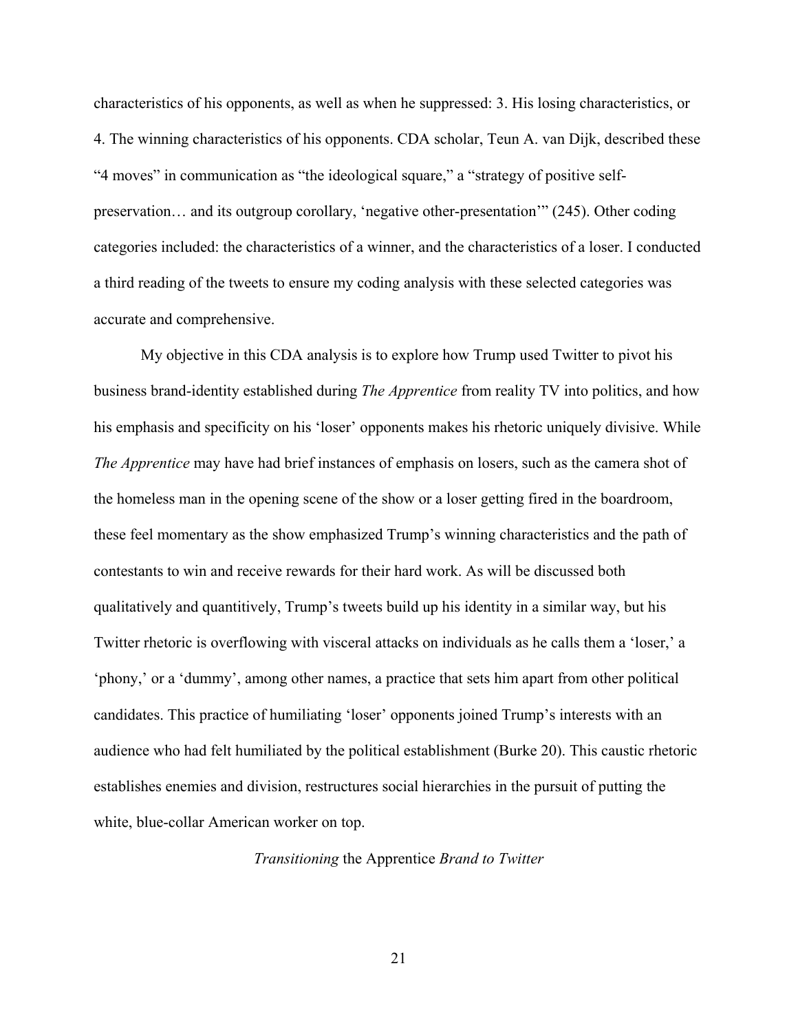characteristics of his opponents, as well as when he suppressed: 3. His losing characteristics, or 4. The winning characteristics of his opponents. CDA scholar, Teun A. van Dijk, described these "4 moves" in communication as "the ideological square," a "strategy of positive selfpreservation… and its outgroup corollary, 'negative other-presentation'" (245). Other coding categories included: the characteristics of a winner, and the characteristics of a loser. I conducted a third reading of the tweets to ensure my coding analysis with these selected categories was accurate and comprehensive.

 My objective in this CDA analysis is to explore how Trump used Twitter to pivot his business brand-identity established during *The Apprentice* from reality TV into politics, and how his emphasis and specificity on his 'loser' opponents makes his rhetoric uniquely divisive. While *The Apprentice* may have had brief instances of emphasis on losers, such as the camera shot of the homeless man in the opening scene of the show or a loser getting fired in the boardroom, these feel momentary as the show emphasized Trump's winning characteristics and the path of contestants to win and receive rewards for their hard work. As will be discussed both qualitatively and quantitively, Trump's tweets build up his identity in a similar way, but his Twitter rhetoric is overflowing with visceral attacks on individuals as he calls them a 'loser,' a 'phony,' or a 'dummy', among other names, a practice that sets him apart from other political candidates. This practice of humiliating 'loser' opponents joined Trump's interests with an audience who had felt humiliated by the political establishment (Burke 20). This caustic rhetoric establishes enemies and division, restructures social hierarchies in the pursuit of putting the white, blue-collar American worker on top.

<span id="page-25-0"></span>*Transitioning* the Apprentice *Brand to Twitter*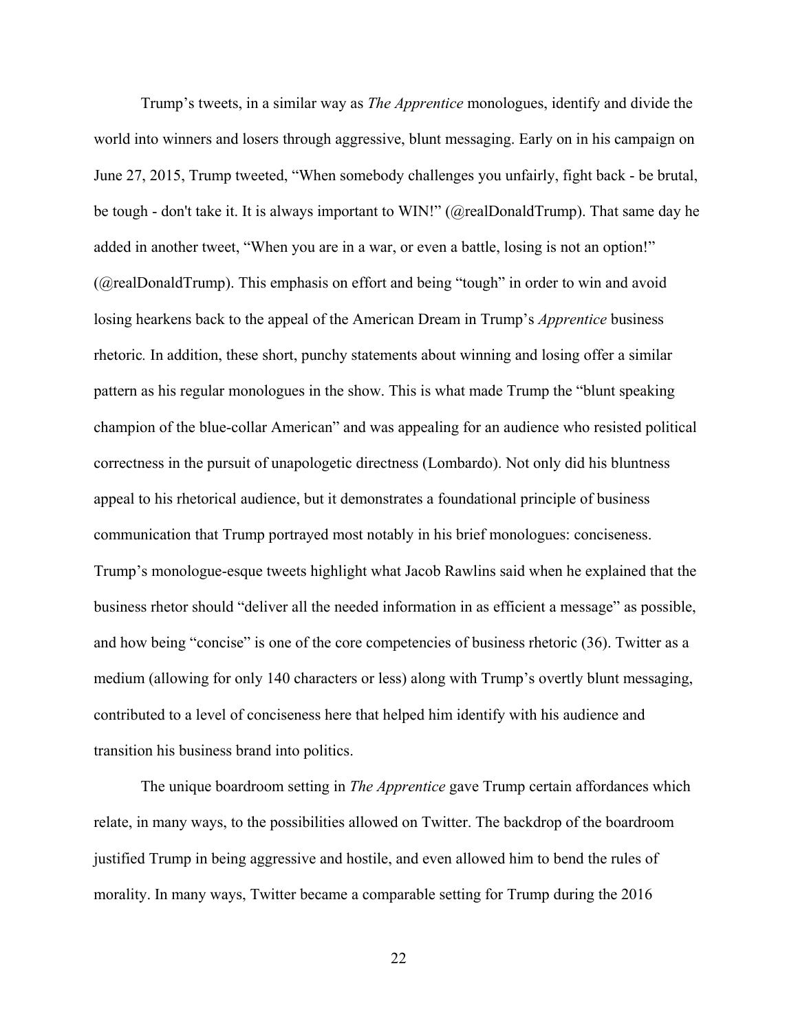Trump's tweets, in a similar way as *The Apprentice* monologues, identify and divide the world into winners and losers through aggressive, blunt messaging. Early on in his campaign on June 27, 2015, Trump tweeted, "When somebody challenges you unfairly, fight back - be brutal, be tough - don't take it. It is always important to WIN!" (@realDonaldTrump). That same day he added in another tweet, "When you are in a war, or even a battle, losing is not an option!" (@realDonaldTrump). This emphasis on effort and being "tough" in order to win and avoid losing hearkens back to the appeal of the American Dream in Trump's *Apprentice* business rhetoric*.* In addition, these short, punchy statements about winning and losing offer a similar pattern as his regular monologues in the show. This is what made Trump the "blunt speaking champion of the blue-collar American" and was appealing for an audience who resisted political correctness in the pursuit of unapologetic directness (Lombardo). Not only did his bluntness appeal to his rhetorical audience, but it demonstrates a foundational principle of business communication that Trump portrayed most notably in his brief monologues: conciseness. Trump's monologue-esque tweets highlight what Jacob Rawlins said when he explained that the business rhetor should "deliver all the needed information in as efficient a message" as possible, and how being "concise" is one of the core competencies of business rhetoric (36). Twitter as a medium (allowing for only 140 characters or less) along with Trump's overtly blunt messaging, contributed to a level of conciseness here that helped him identify with his audience and transition his business brand into politics.

The unique boardroom setting in *The Apprentice* gave Trump certain affordances which relate, in many ways, to the possibilities allowed on Twitter. The backdrop of the boardroom justified Trump in being aggressive and hostile, and even allowed him to bend the rules of morality. In many ways, Twitter became a comparable setting for Trump during the 2016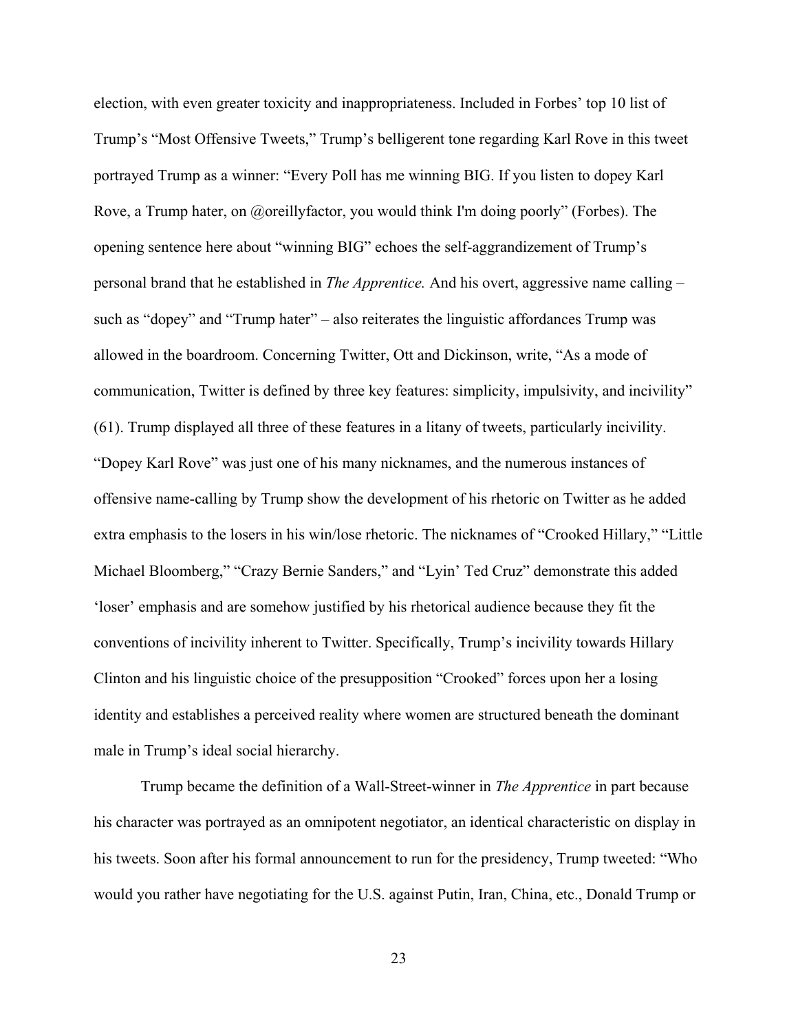election, with even greater toxicity and inappropriateness. Included in Forbes' top 10 list of Trump's "Most Offensive Tweets," Trump's belligerent tone regarding Karl Rove in this tweet portrayed Trump as a winner: "Every Poll has me winning BIG. If you listen to dopey Karl Rove, a Trump hater, on @oreillyfactor, you would think I'm doing poorly" (Forbes). The opening sentence here about "winning BIG" echoes the self-aggrandizement of Trump's personal brand that he established in *The Apprentice.* And his overt, aggressive name calling – such as "dopey" and "Trump hater" – also reiterates the linguistic affordances Trump was allowed in the boardroom. Concerning Twitter, Ott and Dickinson, write, "As a mode of communication, Twitter is defined by three key features: simplicity, impulsivity, and incivility" (61). Trump displayed all three of these features in a litany of tweets, particularly incivility. "Dopey Karl Rove" was just one of his many nicknames, and the numerous instances of offensive name-calling by Trump show the development of his rhetoric on Twitter as he added extra emphasis to the losers in his win/lose rhetoric. The nicknames of "Crooked Hillary," "Little Michael Bloomberg," "Crazy Bernie Sanders," and "Lyin' Ted Cruz" demonstrate this added 'loser' emphasis and are somehow justified by his rhetorical audience because they fit the conventions of incivility inherent to Twitter. Specifically, Trump's incivility towards Hillary Clinton and his linguistic choice of the presupposition "Crooked" forces upon her a losing identity and establishes a perceived reality where women are structured beneath the dominant male in Trump's ideal social hierarchy.

Trump became the definition of a Wall-Street-winner in *The Apprentice* in part because his character was portrayed as an omnipotent negotiator, an identical characteristic on display in his tweets. Soon after his formal announcement to run for the presidency, Trump tweeted: "Who would you rather have negotiating for the U.S. against Putin, Iran, China, etc., Donald Trump or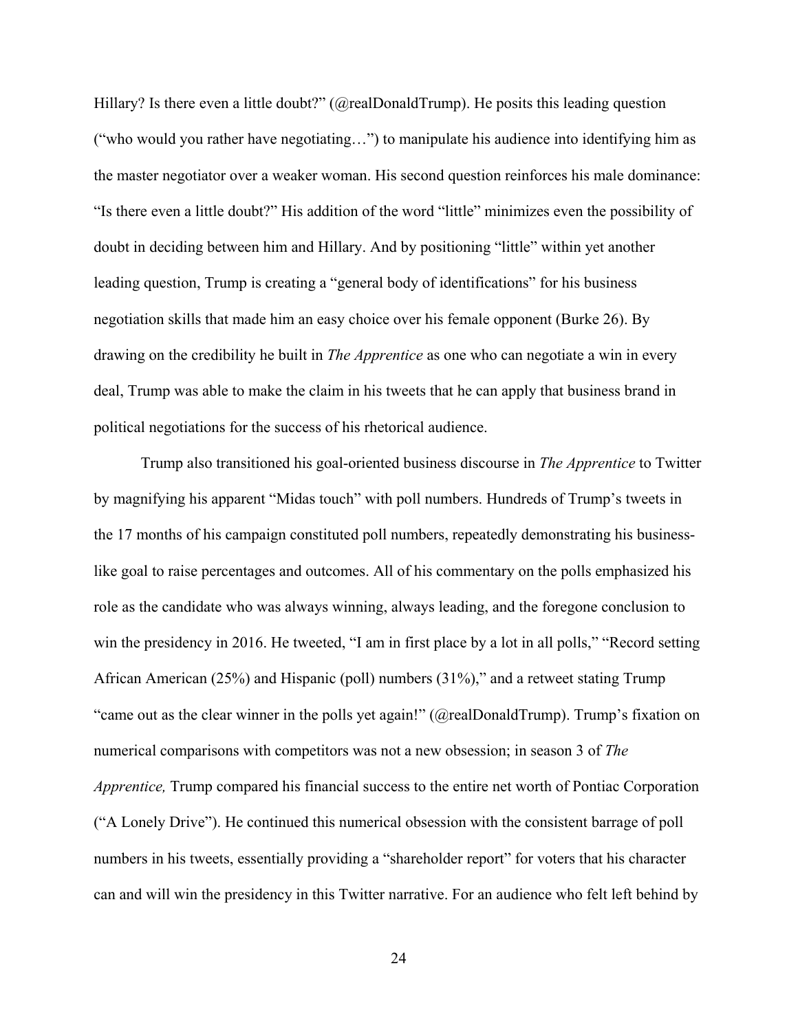Hillary? Is there even a little doubt?" (@realDonaldTrump). He posits this leading question ("who would you rather have negotiating…") to manipulate his audience into identifying him as the master negotiator over a weaker woman. His second question reinforces his male dominance: "Is there even a little doubt?" His addition of the word "little" minimizes even the possibility of doubt in deciding between him and Hillary. And by positioning "little" within yet another leading question, Trump is creating a "general body of identifications" for his business negotiation skills that made him an easy choice over his female opponent (Burke 26). By drawing on the credibility he built in *The Apprentice* as one who can negotiate a win in every deal, Trump was able to make the claim in his tweets that he can apply that business brand in political negotiations for the success of his rhetorical audience.

Trump also transitioned his goal-oriented business discourse in *The Apprentice* to Twitter by magnifying his apparent "Midas touch" with poll numbers. Hundreds of Trump's tweets in the 17 months of his campaign constituted poll numbers, repeatedly demonstrating his businesslike goal to raise percentages and outcomes. All of his commentary on the polls emphasized his role as the candidate who was always winning, always leading, and the foregone conclusion to win the presidency in 2016. He tweeted, "I am in first place by a lot in all polls," "Record setting African American (25%) and Hispanic (poll) numbers (31%)," and a retweet stating Trump "came out as the clear winner in the polls yet again!" (@realDonaldTrump). Trump's fixation on numerical comparisons with competitors was not a new obsession; in season 3 of *The Apprentice,* Trump compared his financial success to the entire net worth of Pontiac Corporation ("A Lonely Drive"). He continued this numerical obsession with the consistent barrage of poll numbers in his tweets, essentially providing a "shareholder report" for voters that his character can and will win the presidency in this Twitter narrative. For an audience who felt left behind by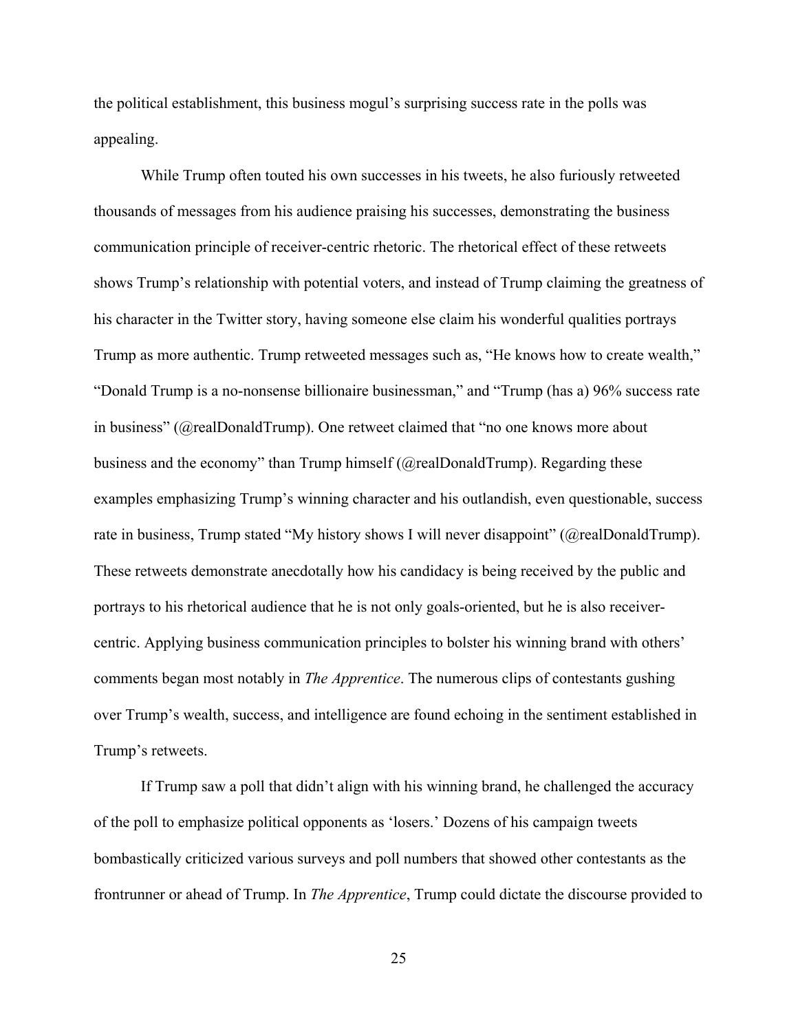the political establishment, this business mogul's surprising success rate in the polls was appealing.

While Trump often touted his own successes in his tweets, he also furiously retweeted thousands of messages from his audience praising his successes, demonstrating the business communication principle of receiver-centric rhetoric. The rhetorical effect of these retweets shows Trump's relationship with potential voters, and instead of Trump claiming the greatness of his character in the Twitter story, having someone else claim his wonderful qualities portrays Trump as more authentic. Trump retweeted messages such as, "He knows how to create wealth," "Donald Trump is a no-nonsense billionaire businessman," and "Trump (has a) 96% success rate in business" (@realDonaldTrump). One retweet claimed that "no one knows more about business and the economy" than Trump himself (@realDonaldTrump). Regarding these examples emphasizing Trump's winning character and his outlandish, even questionable, success rate in business, Trump stated "My history shows I will never disappoint" (@realDonaldTrump). These retweets demonstrate anecdotally how his candidacy is being received by the public and portrays to his rhetorical audience that he is not only goals-oriented, but he is also receivercentric. Applying business communication principles to bolster his winning brand with others' comments began most notably in *The Apprentice*. The numerous clips of contestants gushing over Trump's wealth, success, and intelligence are found echoing in the sentiment established in Trump's retweets.

If Trump saw a poll that didn't align with his winning brand, he challenged the accuracy of the poll to emphasize political opponents as 'losers.' Dozens of his campaign tweets bombastically criticized various surveys and poll numbers that showed other contestants as the frontrunner or ahead of Trump. In *The Apprentice*, Trump could dictate the discourse provided to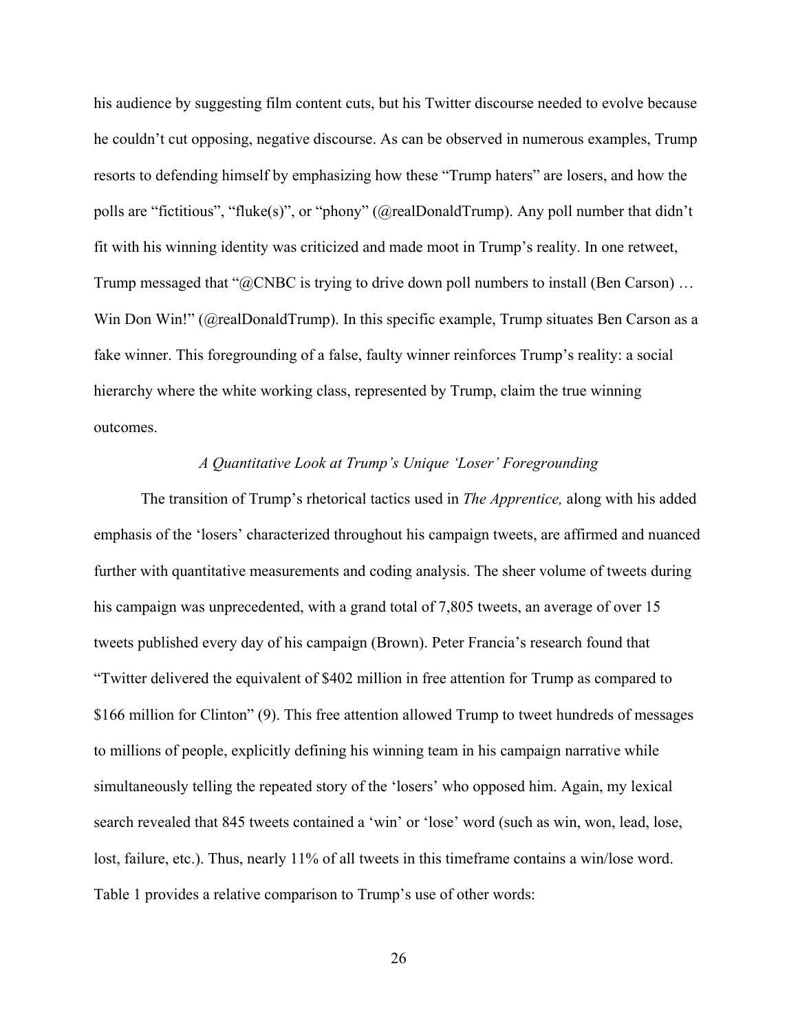his audience by suggesting film content cuts, but his Twitter discourse needed to evolve because he couldn't cut opposing, negative discourse. As can be observed in numerous examples, Trump resorts to defending himself by emphasizing how these "Trump haters" are losers, and how the polls are "fictitious", "fluke(s)", or "phony" (@realDonaldTrump). Any poll number that didn't fit with his winning identity was criticized and made moot in Trump's reality. In one retweet, Trump messaged that "@CNBC is trying to drive down poll numbers to install (Ben Carson) ... Win Don Win!" (@realDonaldTrump). In this specific example, Trump situates Ben Carson as a fake winner. This foregrounding of a false, faulty winner reinforces Trump's reality: a social hierarchy where the white working class, represented by Trump, claim the true winning outcomes.

# *A Quantitative Look at Trump's Unique 'Loser' Foregrounding*

<span id="page-30-0"></span>The transition of Trump's rhetorical tactics used in *The Apprentice,* along with his added emphasis of the 'losers' characterized throughout his campaign tweets, are affirmed and nuanced further with quantitative measurements and coding analysis. The sheer volume of tweets during his campaign was unprecedented, with a grand total of 7,805 tweets, an average of over 15 tweets published every day of his campaign (Brown). Peter Francia's research found that "Twitter delivered the equivalent of \$402 million in free attention for Trump as compared to \$166 million for Clinton" (9). This free attention allowed Trump to tweet hundreds of messages to millions of people, explicitly defining his winning team in his campaign narrative while simultaneously telling the repeated story of the 'losers' who opposed him. Again, my lexical search revealed that 845 tweets contained a 'win' or 'lose' word (such as win, won, lead, lose, lost, failure, etc.). Thus, nearly 11% of all tweets in this time frame contains a win/lose word. Table 1 provides a relative comparison to Trump's use of other words: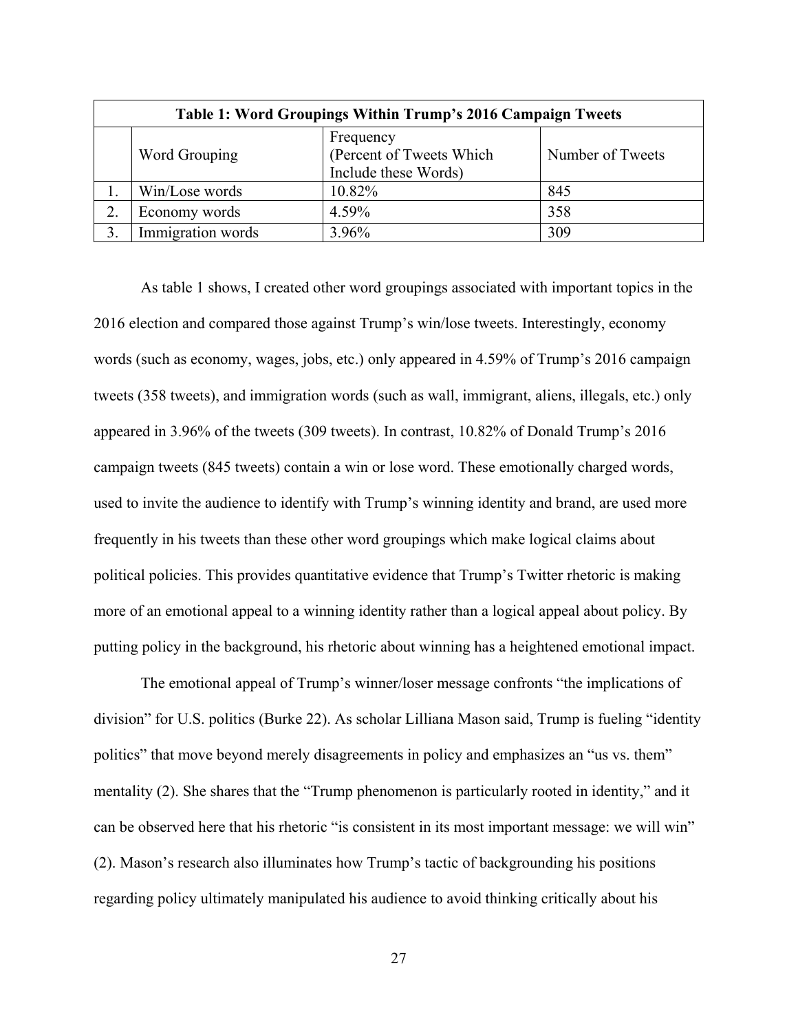<span id="page-31-0"></span>

| Table 1: Word Groupings Within Trump's 2016 Campaign Tweets |                   |                                                               |                  |
|-------------------------------------------------------------|-------------------|---------------------------------------------------------------|------------------|
|                                                             | Word Grouping     | Frequency<br>(Percent of Tweets Which<br>Include these Words) | Number of Tweets |
|                                                             | Win/Lose words    | 10.82%                                                        | 845              |
| 2.                                                          | Economy words     | 4.59%                                                         | 358              |
|                                                             | Immigration words | 3.96%                                                         | 309              |

As table 1 shows, I created other word groupings associated with important topics in the 2016 election and compared those against Trump's win/lose tweets. Interestingly, economy words (such as economy, wages, jobs, etc.) only appeared in 4.59% of Trump's 2016 campaign tweets (358 tweets), and immigration words (such as wall, immigrant, aliens, illegals, etc.) only appeared in 3.96% of the tweets (309 tweets). In contrast, 10.82% of Donald Trump's 2016 campaign tweets (845 tweets) contain a win or lose word. These emotionally charged words, used to invite the audience to identify with Trump's winning identity and brand, are used more frequently in his tweets than these other word groupings which make logical claims about political policies. This provides quantitative evidence that Trump's Twitter rhetoric is making more of an emotional appeal to a winning identity rather than a logical appeal about policy. By putting policy in the background, his rhetoric about winning has a heightened emotional impact.

 The emotional appeal of Trump's winner/loser message confronts "the implications of division" for U.S. politics (Burke 22). As scholar Lilliana Mason said, Trump is fueling "identity politics" that move beyond merely disagreements in policy and emphasizes an "us vs. them" mentality (2). She shares that the "Trump phenomenon is particularly rooted in identity," and it can be observed here that his rhetoric "is consistent in its most important message: we will win" (2). Mason's research also illuminates how Trump's tactic of backgrounding his positions regarding policy ultimately manipulated his audience to avoid thinking critically about his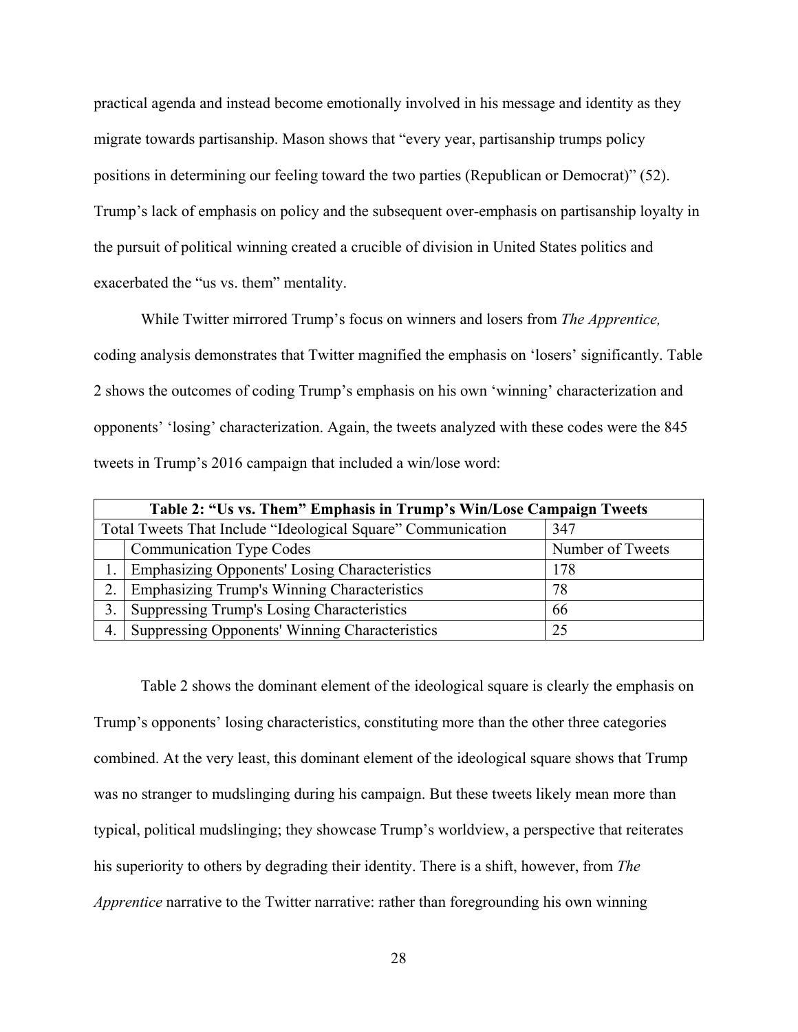practical agenda and instead become emotionally involved in his message and identity as they migrate towards partisanship. Mason shows that "every year, partisanship trumps policy positions in determining our feeling toward the two parties (Republican or Democrat)" (52). Trump's lack of emphasis on policy and the subsequent over-emphasis on partisanship loyalty in the pursuit of political winning created a crucible of division in United States politics and exacerbated the "us vs. them" mentality.

While Twitter mirrored Trump's focus on winners and losers from *The Apprentice,*  coding analysis demonstrates that Twitter magnified the emphasis on 'losers' significantly. Table 2 shows the outcomes of coding Trump's emphasis on his own 'winning' characterization and opponents' 'losing' characterization. Again, the tweets analyzed with these codes were the 845 tweets in Trump's 2016 campaign that included a win/lose word:

<span id="page-32-0"></span>

| Table 2: "Us vs. Them" Emphasis in Trump's Win/Lose Campaign Tweets |                                                                     |                  |  |
|---------------------------------------------------------------------|---------------------------------------------------------------------|------------------|--|
|                                                                     | Total Tweets That Include "Ideological Square" Communication<br>347 |                  |  |
|                                                                     | <b>Communication Type Codes</b>                                     | Number of Tweets |  |
|                                                                     | <b>Emphasizing Opponents' Losing Characteristics</b>                | 178              |  |
| 2.                                                                  | <b>Emphasizing Trump's Winning Characteristics</b>                  | 78               |  |
| 3.                                                                  | Suppressing Trump's Losing Characteristics                          | 66               |  |
| 4.                                                                  | <b>Suppressing Opponents' Winning Characteristics</b>               | 25               |  |

Table 2 shows the dominant element of the ideological square is clearly the emphasis on Trump's opponents' losing characteristics, constituting more than the other three categories combined. At the very least, this dominant element of the ideological square shows that Trump was no stranger to mudslinging during his campaign. But these tweets likely mean more than typical, political mudslinging; they showcase Trump's worldview, a perspective that reiterates his superiority to others by degrading their identity. There is a shift, however, from *The Apprentice* narrative to the Twitter narrative: rather than foregrounding his own winning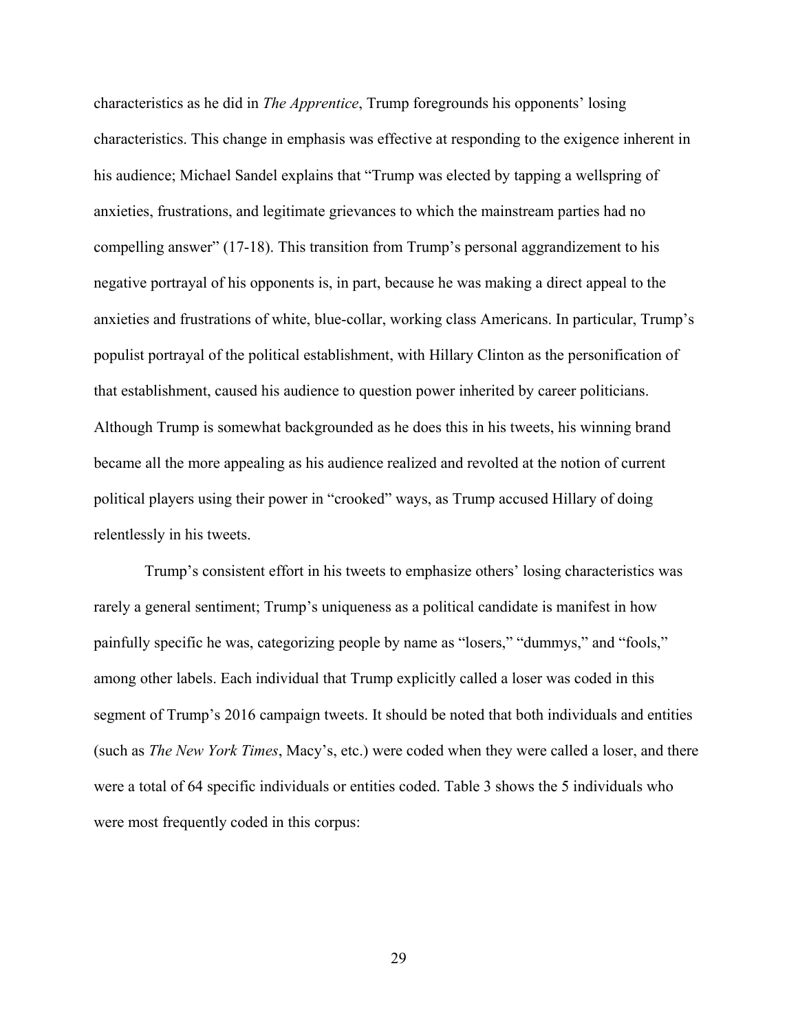characteristics as he did in *The Apprentice*, Trump foregrounds his opponents' losing characteristics. This change in emphasis was effective at responding to the exigence inherent in his audience; Michael Sandel explains that "Trump was elected by tapping a wellspring of anxieties, frustrations, and legitimate grievances to which the mainstream parties had no compelling answer" (17-18). This transition from Trump's personal aggrandizement to his negative portrayal of his opponents is, in part, because he was making a direct appeal to the anxieties and frustrations of white, blue-collar, working class Americans. In particular, Trump's populist portrayal of the political establishment, with Hillary Clinton as the personification of that establishment, caused his audience to question power inherited by career politicians. Although Trump is somewhat backgrounded as he does this in his tweets, his winning brand became all the more appealing as his audience realized and revolted at the notion of current political players using their power in "crooked" ways, as Trump accused Hillary of doing relentlessly in his tweets.

 Trump's consistent effort in his tweets to emphasize others' losing characteristics was rarely a general sentiment; Trump's uniqueness as a political candidate is manifest in how painfully specific he was, categorizing people by name as "losers," "dummys," and "fools," among other labels. Each individual that Trump explicitly called a loser was coded in this segment of Trump's 2016 campaign tweets. It should be noted that both individuals and entities (such as *The New York Times*, Macy's, etc.) were coded when they were called a loser, and there were a total of 64 specific individuals or entities coded. Table 3 shows the 5 individuals who were most frequently coded in this corpus: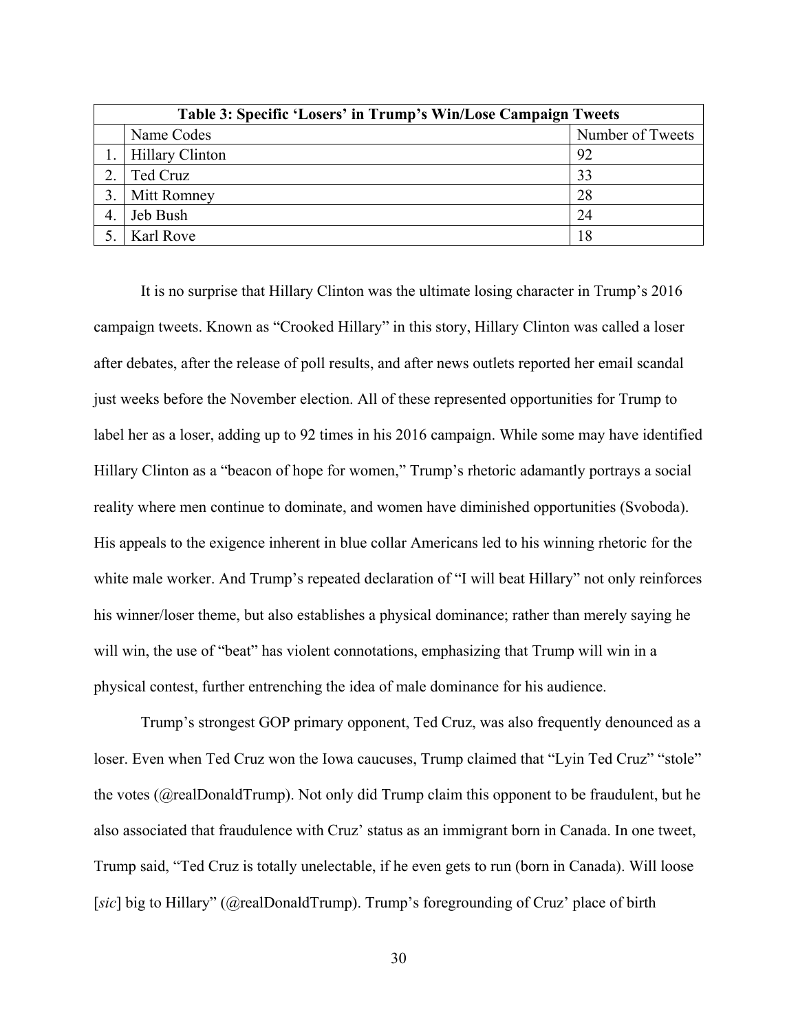<span id="page-34-0"></span>

|    | Table 3: Specific 'Losers' in Trump's Win/Lose Campaign Tweets |                  |  |
|----|----------------------------------------------------------------|------------------|--|
|    | Name Codes                                                     | Number of Tweets |  |
|    | Hillary Clinton                                                | 92               |  |
|    | Ted Cruz                                                       | 33               |  |
|    | Mitt Romney                                                    | 28               |  |
| 4. | Jeb Bush                                                       | 24               |  |
|    | Karl Rove                                                      | 18               |  |

It is no surprise that Hillary Clinton was the ultimate losing character in Trump's 2016 campaign tweets. Known as "Crooked Hillary" in this story, Hillary Clinton was called a loser after debates, after the release of poll results, and after news outlets reported her email scandal just weeks before the November election. All of these represented opportunities for Trump to label her as a loser, adding up to 92 times in his 2016 campaign. While some may have identified Hillary Clinton as a "beacon of hope for women," Trump's rhetoric adamantly portrays a social reality where men continue to dominate, and women have diminished opportunities (Svoboda). His appeals to the exigence inherent in blue collar Americans led to his winning rhetoric for the white male worker. And Trump's repeated declaration of "I will beat Hillary" not only reinforces his winner/loser theme, but also establishes a physical dominance; rather than merely saying he will win, the use of "beat" has violent connotations, emphasizing that Trump will win in a physical contest, further entrenching the idea of male dominance for his audience.

Trump's strongest GOP primary opponent, Ted Cruz, was also frequently denounced as a loser. Even when Ted Cruz won the Iowa caucuses, Trump claimed that "Lyin Ted Cruz" "stole" the votes (@realDonaldTrump). Not only did Trump claim this opponent to be fraudulent, but he also associated that fraudulence with Cruz' status as an immigrant born in Canada. In one tweet, Trump said, "Ted Cruz is totally unelectable, if he even gets to run (born in Canada). Will loose [*sic*] big to Hillary" (@realDonaldTrump). Trump's foregrounding of Cruz' place of birth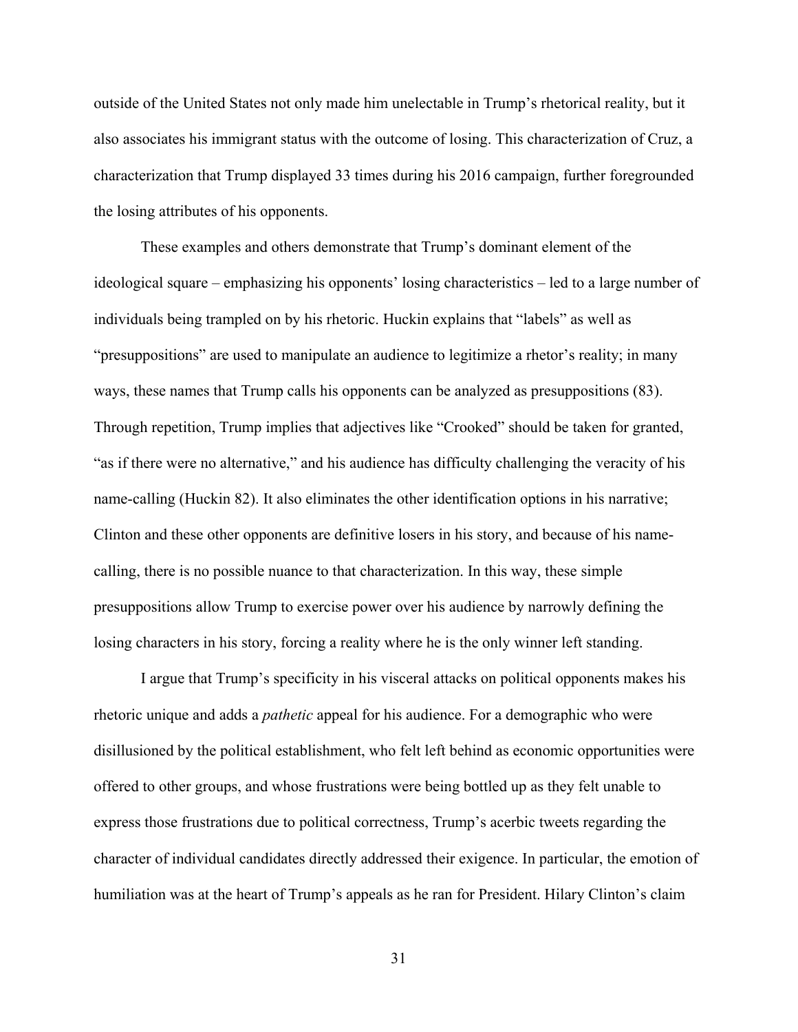outside of the United States not only made him unelectable in Trump's rhetorical reality, but it also associates his immigrant status with the outcome of losing. This characterization of Cruz, a characterization that Trump displayed 33 times during his 2016 campaign, further foregrounded the losing attributes of his opponents.

These examples and others demonstrate that Trump's dominant element of the ideological square – emphasizing his opponents' losing characteristics – led to a large number of individuals being trampled on by his rhetoric. Huckin explains that "labels" as well as "presuppositions" are used to manipulate an audience to legitimize a rhetor's reality; in many ways, these names that Trump calls his opponents can be analyzed as presuppositions (83). Through repetition, Trump implies that adjectives like "Crooked" should be taken for granted, "as if there were no alternative," and his audience has difficulty challenging the veracity of his name-calling (Huckin 82). It also eliminates the other identification options in his narrative; Clinton and these other opponents are definitive losers in his story, and because of his namecalling, there is no possible nuance to that characterization. In this way, these simple presuppositions allow Trump to exercise power over his audience by narrowly defining the losing characters in his story, forcing a reality where he is the only winner left standing.

I argue that Trump's specificity in his visceral attacks on political opponents makes his rhetoric unique and adds a *pathetic* appeal for his audience. For a demographic who were disillusioned by the political establishment, who felt left behind as economic opportunities were offered to other groups, and whose frustrations were being bottled up as they felt unable to express those frustrations due to political correctness, Trump's acerbic tweets regarding the character of individual candidates directly addressed their exigence. In particular, the emotion of humiliation was at the heart of Trump's appeals as he ran for President. Hilary Clinton's claim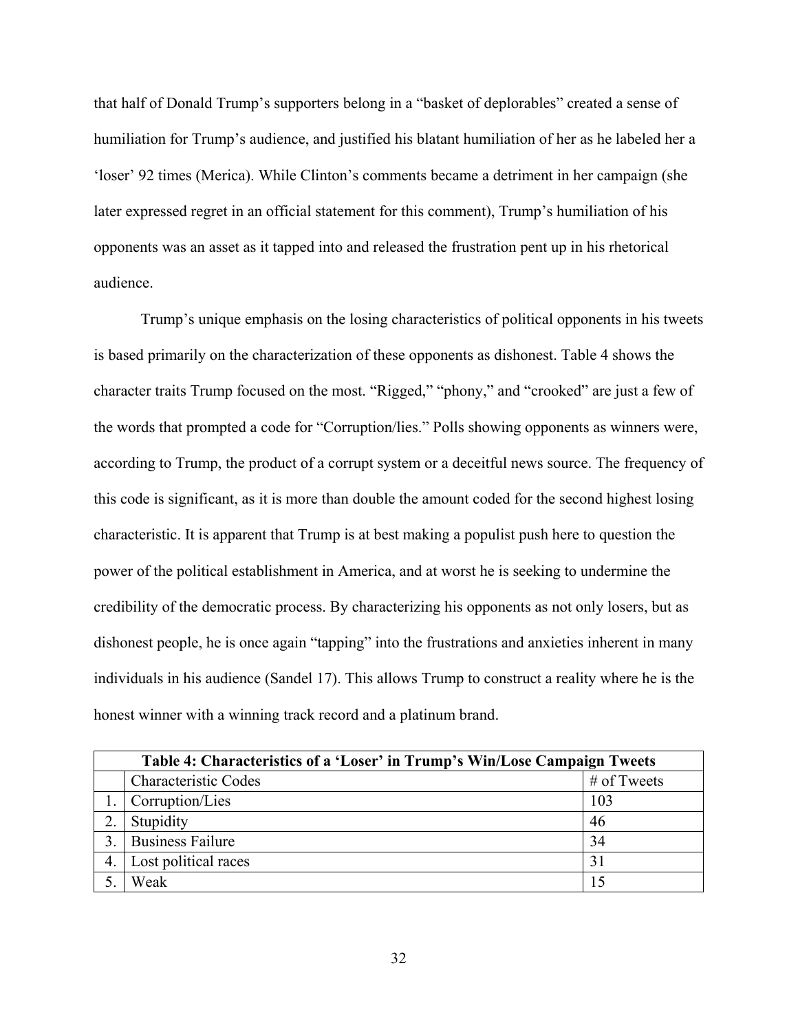that half of Donald Trump's supporters belong in a "basket of deplorables" created a sense of humiliation for Trump's audience, and justified his blatant humiliation of her as he labeled her a 'loser' 92 times (Merica). While Clinton's comments became a detriment in her campaign (she later expressed regret in an official statement for this comment), Trump's humiliation of his opponents was an asset as it tapped into and released the frustration pent up in his rhetorical audience.

Trump's unique emphasis on the losing characteristics of political opponents in his tweets is based primarily on the characterization of these opponents as dishonest. Table 4 shows the character traits Trump focused on the most. "Rigged," "phony," and "crooked" are just a few of the words that prompted a code for "Corruption/lies." Polls showing opponents as winners were, according to Trump, the product of a corrupt system or a deceitful news source. The frequency of this code is significant, as it is more than double the amount coded for the second highest losing characteristic. It is apparent that Trump is at best making a populist push here to question the power of the political establishment in America, and at worst he is seeking to undermine the credibility of the democratic process. By characterizing his opponents as not only losers, but as dishonest people, he is once again "tapping" into the frustrations and anxieties inherent in many individuals in his audience (Sandel 17). This allows Trump to construct a reality where he is the honest winner with a winning track record and a platinum brand.

<span id="page-36-0"></span>

| Table 4: Characteristics of a 'Loser' in Trump's Win/Lose Campaign Tweets |                             |             |
|---------------------------------------------------------------------------|-----------------------------|-------------|
|                                                                           | <b>Characteristic Codes</b> | # of Tweets |
|                                                                           | Corruption/Lies             | 103         |
|                                                                           | Stupidity                   | 46          |
|                                                                           | <b>Business Failure</b>     | 34          |
| 4.                                                                        | Lost political races        | 31          |
|                                                                           | Weak                        |             |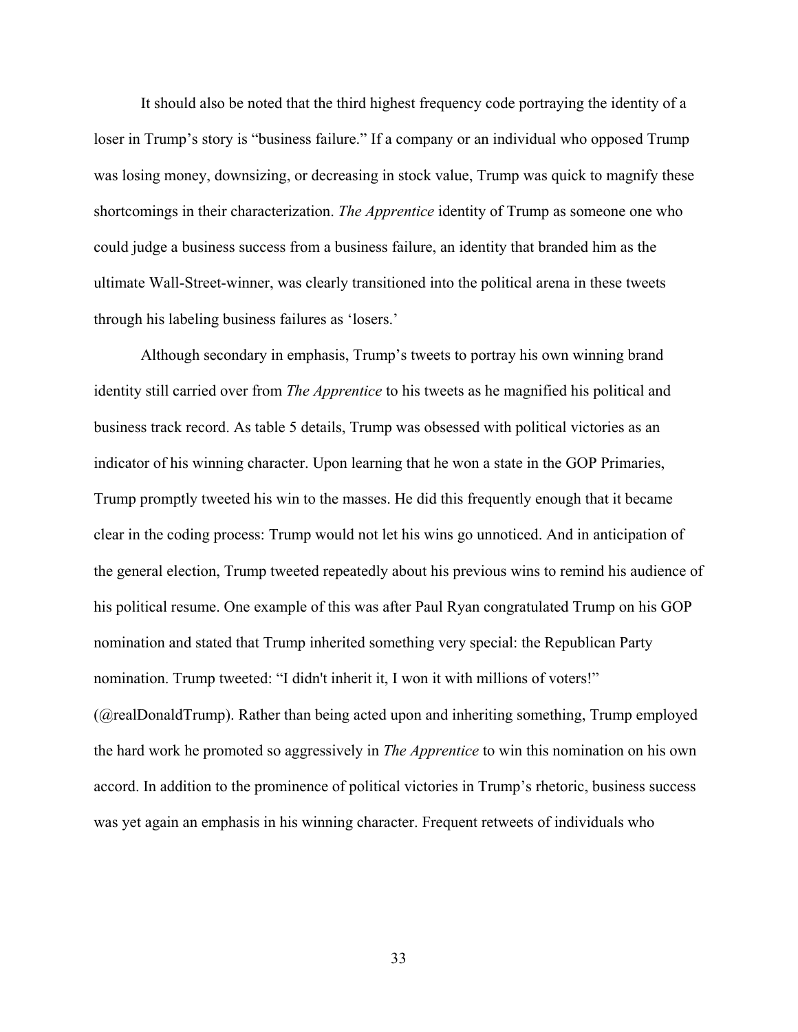It should also be noted that the third highest frequency code portraying the identity of a loser in Trump's story is "business failure." If a company or an individual who opposed Trump was losing money, downsizing, or decreasing in stock value, Trump was quick to magnify these shortcomings in their characterization. *The Apprentice* identity of Trump as someone one who could judge a business success from a business failure, an identity that branded him as the ultimate Wall-Street-winner, was clearly transitioned into the political arena in these tweets through his labeling business failures as 'losers.'

 Although secondary in emphasis, Trump's tweets to portray his own winning brand identity still carried over from *The Apprentice* to his tweets as he magnified his political and business track record. As table 5 details, Trump was obsessed with political victories as an indicator of his winning character. Upon learning that he won a state in the GOP Primaries, Trump promptly tweeted his win to the masses. He did this frequently enough that it became clear in the coding process: Trump would not let his wins go unnoticed. And in anticipation of the general election, Trump tweeted repeatedly about his previous wins to remind his audience of his political resume. One example of this was after Paul Ryan congratulated Trump on his GOP nomination and stated that Trump inherited something very special: the Republican Party nomination. Trump tweeted: "I didn't inherit it, I won it with millions of voters!" (@realDonaldTrump). Rather than being acted upon and inheriting something, Trump employed the hard work he promoted so aggressively in *The Apprentice* to win this nomination on his own accord. In addition to the prominence of political victories in Trump's rhetoric, business success was yet again an emphasis in his winning character. Frequent retweets of individuals who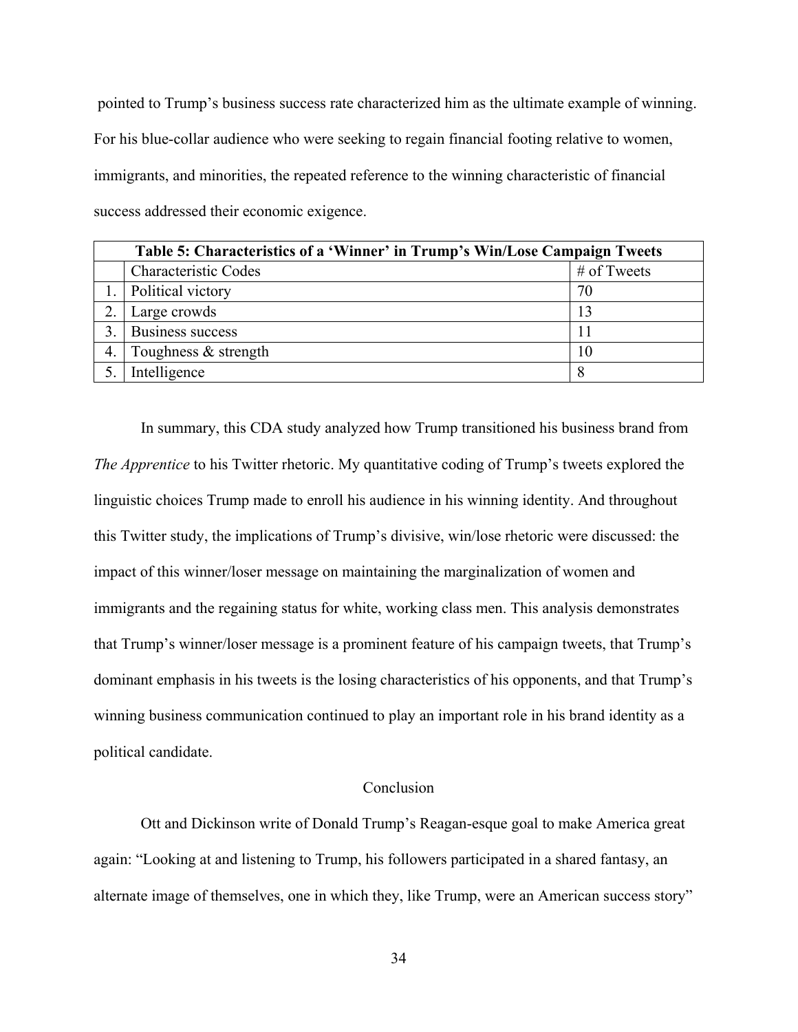pointed to Trump's business success rate characterized him as the ultimate example of winning. For his blue-collar audience who were seeking to regain financial footing relative to women, immigrants, and minorities, the repeated reference to the winning characteristic of financial success addressed their economic exigence.

<span id="page-38-1"></span>

|    | Table 5: Characteristics of a 'Winner' in Trump's Win/Lose Campaign Tweets |             |  |
|----|----------------------------------------------------------------------------|-------------|--|
|    | <b>Characteristic Codes</b>                                                | # of Tweets |  |
|    | Political victory                                                          | 70          |  |
|    | Large crowds                                                               | 13          |  |
|    | Business success                                                           |             |  |
| 4. | Toughness & strength                                                       | 10          |  |
|    | Intelligence                                                               |             |  |

In summary, this CDA study analyzed how Trump transitioned his business brand from *The Apprentice* to his Twitter rhetoric. My quantitative coding of Trump's tweets explored the linguistic choices Trump made to enroll his audience in his winning identity. And throughout this Twitter study, the implications of Trump's divisive, win/lose rhetoric were discussed: the impact of this winner/loser message on maintaining the marginalization of women and immigrants and the regaining status for white, working class men. This analysis demonstrates that Trump's winner/loser message is a prominent feature of his campaign tweets, that Trump's dominant emphasis in his tweets is the losing characteristics of his opponents, and that Trump's winning business communication continued to play an important role in his brand identity as a political candidate.

# Conclusion

<span id="page-38-0"></span> Ott and Dickinson write of Donald Trump's Reagan-esque goal to make America great again: "Looking at and listening to Trump, his followers participated in a shared fantasy, an alternate image of themselves, one in which they, like Trump, were an American success story"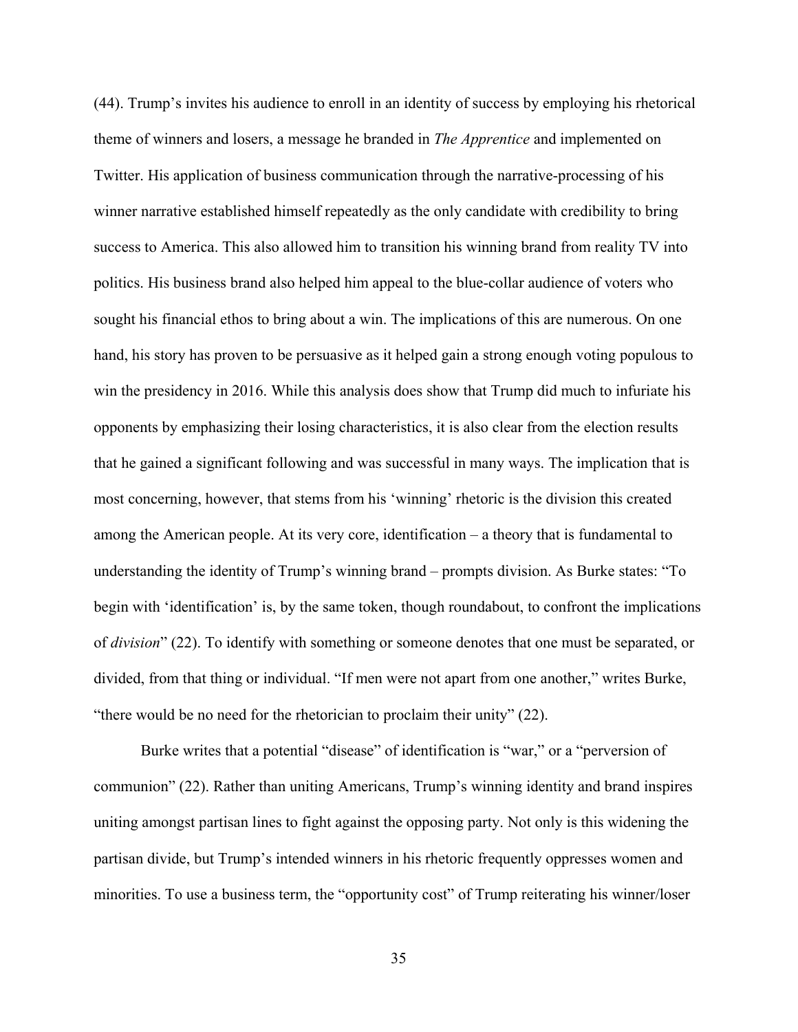(44). Trump's invites his audience to enroll in an identity of success by employing his rhetorical theme of winners and losers, a message he branded in *The Apprentice* and implemented on Twitter. His application of business communication through the narrative-processing of his winner narrative established himself repeatedly as the only candidate with credibility to bring success to America. This also allowed him to transition his winning brand from reality TV into politics. His business brand also helped him appeal to the blue-collar audience of voters who sought his financial ethos to bring about a win. The implications of this are numerous. On one hand, his story has proven to be persuasive as it helped gain a strong enough voting populous to win the presidency in 2016. While this analysis does show that Trump did much to infuriate his opponents by emphasizing their losing characteristics, it is also clear from the election results that he gained a significant following and was successful in many ways. The implication that is most concerning, however, that stems from his 'winning' rhetoric is the division this created among the American people. At its very core, identification – a theory that is fundamental to understanding the identity of Trump's winning brand – prompts division. As Burke states: "To begin with 'identification' is, by the same token, though roundabout, to confront the implications of *division*" (22). To identify with something or someone denotes that one must be separated, or divided, from that thing or individual. "If men were not apart from one another," writes Burke, "there would be no need for the rhetorician to proclaim their unity" (22).

Burke writes that a potential "disease" of identification is "war," or a "perversion of communion" (22). Rather than uniting Americans, Trump's winning identity and brand inspires uniting amongst partisan lines to fight against the opposing party. Not only is this widening the partisan divide, but Trump's intended winners in his rhetoric frequently oppresses women and minorities. To use a business term, the "opportunity cost" of Trump reiterating his winner/loser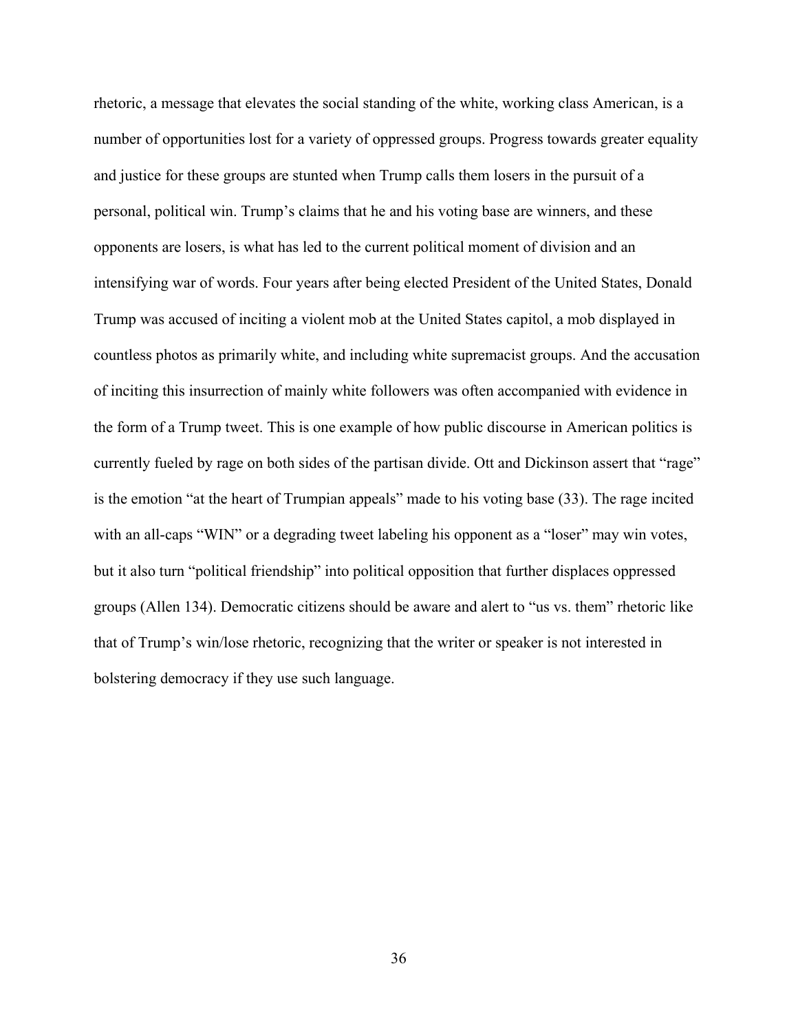rhetoric, a message that elevates the social standing of the white, working class American, is a number of opportunities lost for a variety of oppressed groups. Progress towards greater equality and justice for these groups are stunted when Trump calls them losers in the pursuit of a personal, political win. Trump's claims that he and his voting base are winners, and these opponents are losers, is what has led to the current political moment of division and an intensifying war of words. Four years after being elected President of the United States, Donald Trump was accused of inciting a violent mob at the United States capitol, a mob displayed in countless photos as primarily white, and including white supremacist groups. And the accusation of inciting this insurrection of mainly white followers was often accompanied with evidence in the form of a Trump tweet. This is one example of how public discourse in American politics is currently fueled by rage on both sides of the partisan divide. Ott and Dickinson assert that "rage" is the emotion "at the heart of Trumpian appeals" made to his voting base (33). The rage incited with an all-caps "WIN" or a degrading tweet labeling his opponent as a "loser" may win votes, but it also turn "political friendship" into political opposition that further displaces oppressed groups (Allen 134). Democratic citizens should be aware and alert to "us vs. them" rhetoric like that of Trump's win/lose rhetoric, recognizing that the writer or speaker is not interested in bolstering democracy if they use such language.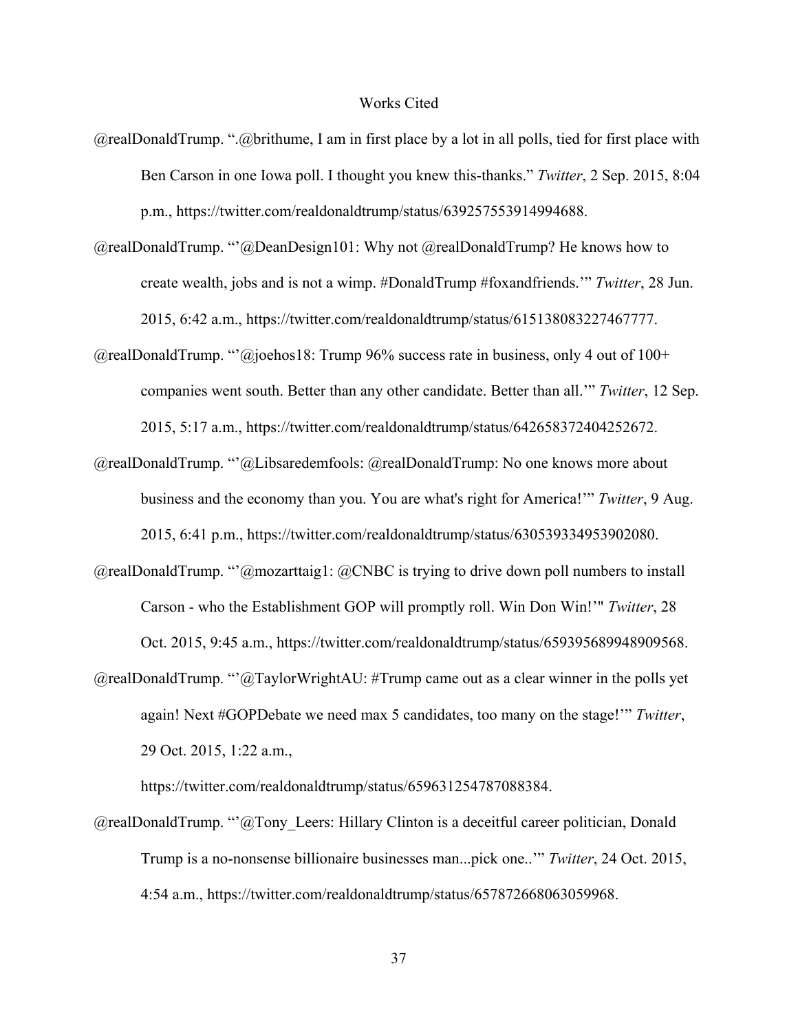#### Works Cited

- <span id="page-41-0"></span>@realDonaldTrump. ".@brithume, I am in first place by a lot in all polls, tied for first place with Ben Carson in one Iowa poll. I thought you knew this-thanks." *Twitter*, 2 Sep. 2015, 8:04 p.m., https://twitter.com/realdonaldtrump/status/639257553914994688.
- @realDonaldTrump. "'@DeanDesign101: Why not @realDonaldTrump? He knows how to create wealth, jobs and is not a wimp. #DonaldTrump #foxandfriends.'" *Twitter*, 28 Jun. 2015, 6:42 a.m., https://twitter.com/realdonaldtrump/status/615138083227467777.
- $@realDonald Trump. "@joehos18: Trump 96% success rate in business, only 4 out of 100+$ companies went south. Better than any other candidate. Better than all.'" *Twitter*, 12 Sep. 2015, 5:17 a.m., https://twitter.com/realdonaldtrump/status/642658372404252672.
- @realDonaldTrump. "'@Libsaredemfools: @realDonaldTrump: No one knows more about business and the economy than you. You are what's right for America!'" *Twitter*, 9 Aug. 2015, 6:41 p.m., https://twitter.com/realdonaldtrump/status/630539334953902080.
- $@realDonaldTrump.$  "' $@maxarttaig1: @CNBC$  is trying to drive down poll numbers to install Carson - who the Establishment GOP will promptly roll. Win Don Win!'" *Twitter*, 28 Oct. 2015, 9:45 a.m., https://twitter.com/realdonaldtrump/status/659395689948909568.
- $@realDonaldTrump. "@TaylorWrightAU: #Trump came out as a clear winner in the polls yet$ again! Next #GOPDebate we need max 5 candidates, too many on the stage!'" *Twitter*, 29 Oct. 2015, 1:22 a.m.,

https://twitter.com/realdonaldtrump/status/659631254787088384.

 $@realDonaldTrump. "@Tony. Leers: Hillary Clinton is a deceitful career politician, Donald$ Trump is a no-nonsense billionaire businesses man...pick one..'" *Twitter*, 24 Oct. 2015, 4:54 a.m., https://twitter.com/realdonaldtrump/status/657872668063059968.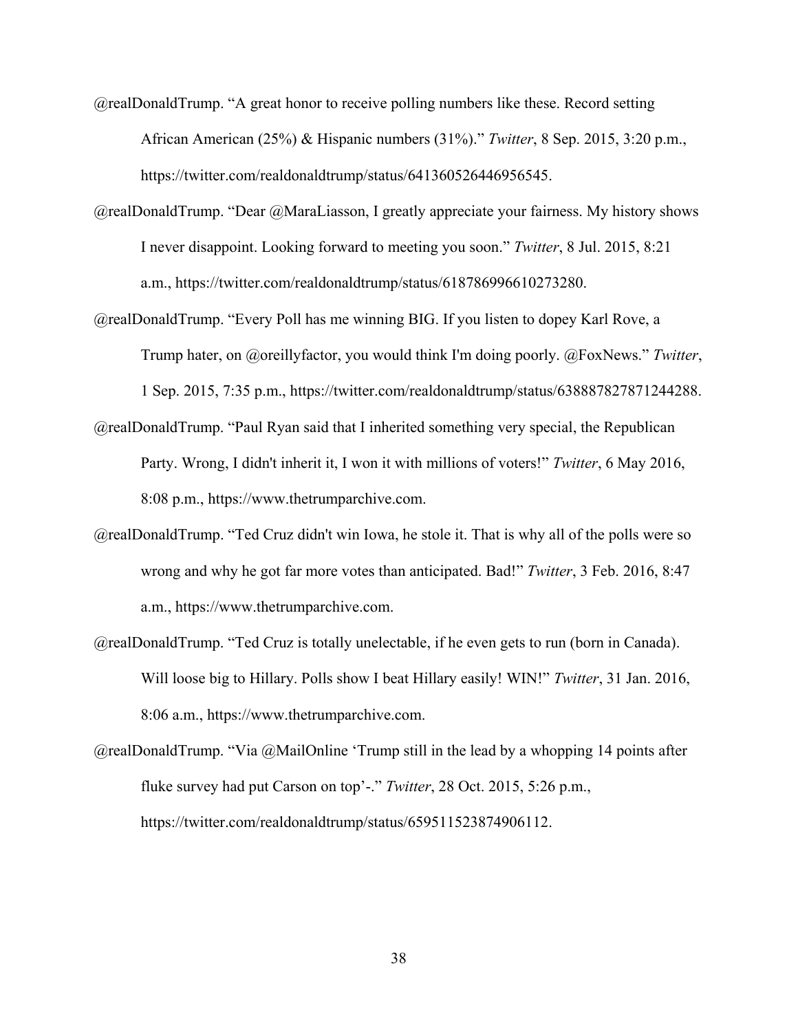- @realDonaldTrump. "A great honor to receive polling numbers like these. Record setting African American (25%) & Hispanic numbers (31%)." *Twitter*, 8 Sep. 2015, 3:20 p.m., https://twitter.com/realdonaldtrump/status/641360526446956545.
- @realDonaldTrump. "Dear @MaraLiasson, I greatly appreciate your fairness. My history shows I never disappoint. Looking forward to meeting you soon." *Twitter*, 8 Jul. 2015, 8:21 a.m., https://twitter.com/realdonaldtrump/status/618786996610273280.
- @realDonaldTrump. "Every Poll has me winning BIG. If you listen to dopey Karl Rove, a Trump hater, on @oreillyfactor, you would think I'm doing poorly. @FoxNews." *Twitter*, 1 Sep. 2015, 7:35 p.m., https://twitter.com/realdonaldtrump/status/638887827871244288.
- @realDonaldTrump. "Paul Ryan said that I inherited something very special, the Republican Party. Wrong, I didn't inherit it, I won it with millions of voters!" *Twitter*, 6 May 2016, 8:08 p.m., https://www.thetrumparchive.com.
- @realDonaldTrump. "Ted Cruz didn't win Iowa, he stole it. That is why all of the polls were so wrong and why he got far more votes than anticipated. Bad!" *Twitter*, 3 Feb. 2016, 8:47 a.m., https://www.thetrumparchive.com.
- @realDonaldTrump. "Ted Cruz is totally unelectable, if he even gets to run (born in Canada). Will loose big to Hillary. Polls show I beat Hillary easily! WIN!" *Twitter*, 31 Jan. 2016, 8:06 a.m., https://www.thetrumparchive.com.
- $@realDonaldTrump. "Via @MailOnline 'Trump still in the lead by a whopping 14 points after$ fluke survey had put Carson on top'-." *Twitter*, 28 Oct. 2015, 5:26 p.m., https://twitter.com/realdonaldtrump/status/659511523874906112.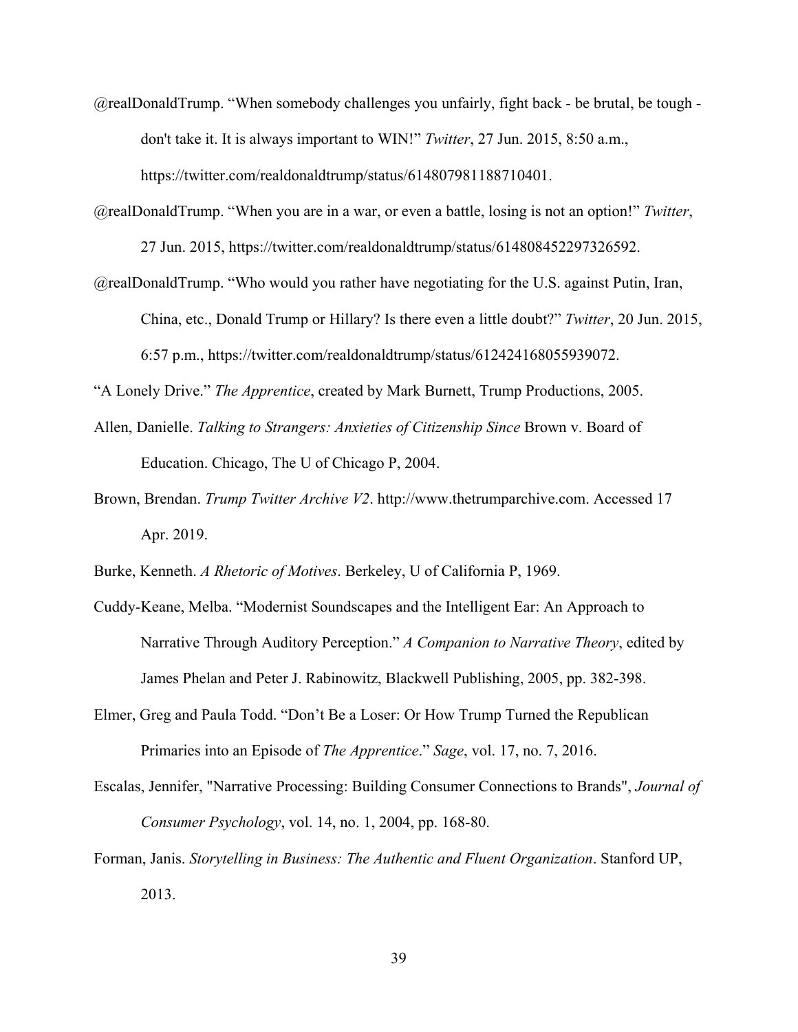- @realDonaldTrump. "When somebody challenges you unfairly, fight back be brutal, be tough don't take it. It is always important to WIN!" *Twitter*, 27 Jun. 2015, 8:50 a.m., https://twitter.com/realdonaldtrump/status/614807981188710401.
- @realDonaldTrump. "When you are in a war, or even a battle, losing is not an option!" *Twitter*, 27 Jun. 2015, https://twitter.com/realdonaldtrump/status/614808452297326592.
- @realDonaldTrump. "Who would you rather have negotiating for the U.S. against Putin, Iran, China, etc., Donald Trump or Hillary? Is there even a little doubt?" *Twitter*, 20 Jun. 2015, 6:57 p.m., https://twitter.com/realdonaldtrump/status/612424168055939072.

"A Lonely Drive." *The Apprentice*, created by Mark Burnett, Trump Productions, 2005.

- Allen, Danielle. *Talking to Strangers: Anxieties of Citizenship Since* Brown v. Board of Education. Chicago, The U of Chicago P, 2004.
- Brown, Brendan. *Trump Twitter Archive V2*. http://www.thetrumparchive.com. Accessed 17 Apr. 2019.

Burke, Kenneth. *A Rhetoric of Motives*. Berkeley, U of California P, 1969.

- Cuddy-Keane, Melba. "Modernist Soundscapes and the Intelligent Ear: An Approach to Narrative Through Auditory Perception." *A Companion to Narrative Theory*, edited by James Phelan and Peter J. Rabinowitz, Blackwell Publishing, 2005, pp. 382-398.
- Elmer, Greg and Paula Todd. "Don't Be a Loser: Or How Trump Turned the Republican Primaries into an Episode of *The Apprentice*." *Sage*, vol. 17, no. 7, 2016.
- Escalas, Jennifer, "Narrative Processing: Building Consumer Connections to Brands", *Journal of Consumer Psychology*, vol. 14, no. 1, 2004, pp. 168-80.
- Forman, Janis. *Storytelling in Business: The Authentic and Fluent Organization*. Stanford UP, 2013.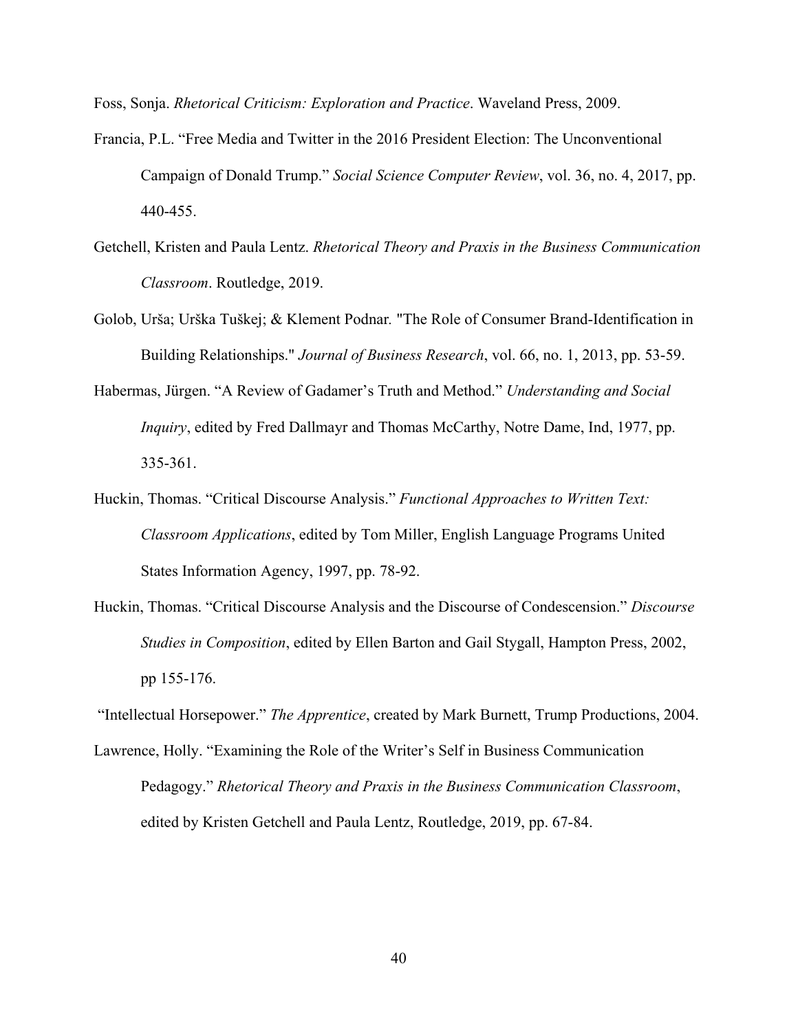Foss, Sonja. *Rhetorical Criticism: Exploration and Practice*. Waveland Press, 2009.

- Francia, P.L. "Free Media and Twitter in the 2016 President Election: The Unconventional Campaign of Donald Trump." *Social Science Computer Review*, vol. 36, no. 4, 2017, pp. 440-455.
- Getchell, Kristen and Paula Lentz. *Rhetorical Theory and Praxis in the Business Communication Classroom*. Routledge, 2019.
- Golob, Urša; Urška Tuškej; & Klement Podnar*.* "The Role of Consumer Brand-Identification in Building Relationships." *Journal of Business Research*, vol. 66, no. 1, 2013, pp. 53-59.
- Habermas, Jürgen. "A Review of Gadamer's Truth and Method." *Understanding and Social Inquiry*, edited by Fred Dallmayr and Thomas McCarthy, Notre Dame, Ind, 1977, pp. 335-361.
- Huckin, Thomas. "Critical Discourse Analysis." *Functional Approaches to Written Text: Classroom Applications*, edited by Tom Miller, English Language Programs United States Information Agency, 1997, pp. 78-92.
- Huckin, Thomas. "Critical Discourse Analysis and the Discourse of Condescension." *Discourse Studies in Composition*, edited by Ellen Barton and Gail Stygall, Hampton Press, 2002, pp 155-176.

"Intellectual Horsepower." *The Apprentice*, created by Mark Burnett, Trump Productions, 2004.

Lawrence, Holly. "Examining the Role of the Writer's Self in Business Communication Pedagogy." *Rhetorical Theory and Praxis in the Business Communication Classroom*, edited by Kristen Getchell and Paula Lentz, Routledge, 2019, pp. 67-84.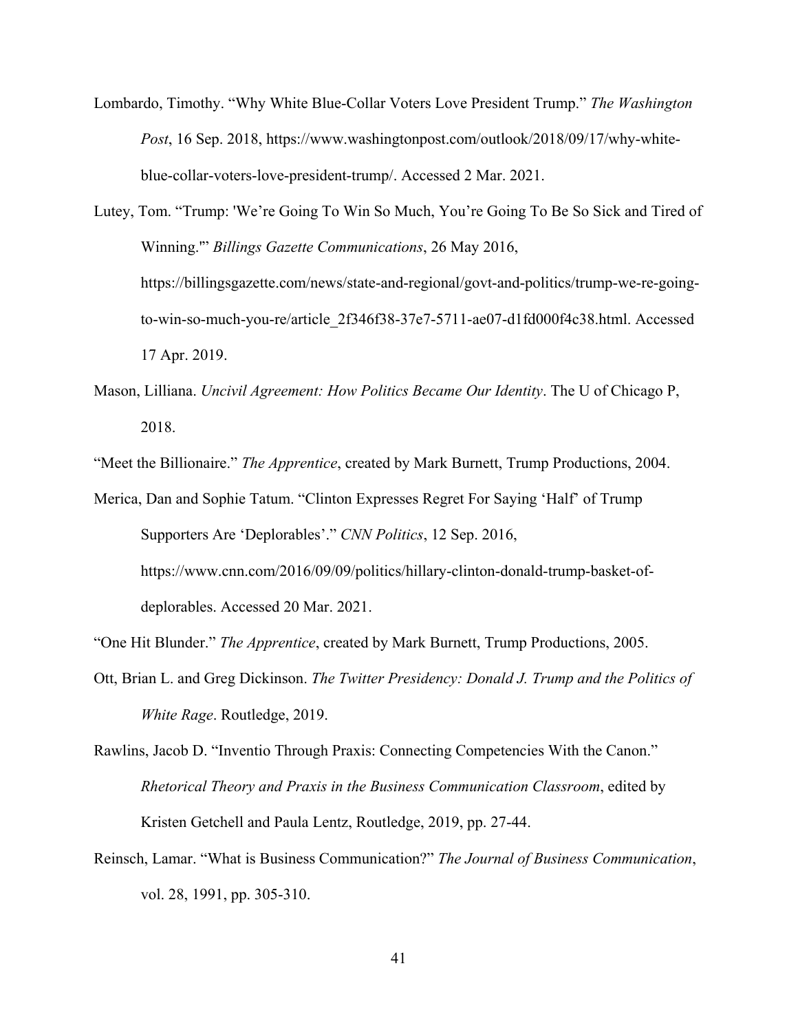Lombardo, Timothy. "Why White Blue-Collar Voters Love President Trump." *The Washington Post*, 16 Sep. 2018, https://www.washingtonpost.com/outlook/2018/09/17/why-whiteblue-collar-voters-love-president-trump/. Accessed 2 Mar. 2021.

Lutey, Tom. "Trump: 'We're Going To Win So Much, You're Going To Be So Sick and Tired of Winning.'" *Billings Gazette Communications*, 26 May 2016, https://billingsgazette.com/news/state-and-regional/govt-and-politics/trump-we-re-goingto-win-so-much-you-re/article\_2f346f38-37e7-5711-ae07-d1fd000f4c38.html. Accessed 17 Apr. 2019.

Mason, Lilliana. *Uncivil Agreement: How Politics Became Our Identity*. The U of Chicago P, 2018.

"Meet the Billionaire." *The Apprentice*, created by Mark Burnett, Trump Productions, 2004.

Merica, Dan and Sophie Tatum. "Clinton Expresses Regret For Saying 'Half' of Trump Supporters Are 'Deplorables'." *CNN Politics*, 12 Sep. 2016, https://www.cnn.com/2016/09/09/politics/hillary-clinton-donald-trump-basket-ofdeplorables. Accessed 20 Mar. 2021.

"One Hit Blunder." *The Apprentice*, created by Mark Burnett, Trump Productions, 2005.

Ott, Brian L. and Greg Dickinson. *The Twitter Presidency: Donald J. Trump and the Politics of White Rage*. Routledge, 2019.

Rawlins, Jacob D. "Inventio Through Praxis: Connecting Competencies With the Canon." *Rhetorical Theory and Praxis in the Business Communication Classroom*, edited by Kristen Getchell and Paula Lentz, Routledge, 2019, pp. 27-44.

Reinsch, Lamar. "What is Business Communication?" *The Journal of Business Communication*, vol. 28, 1991, pp. 305-310.